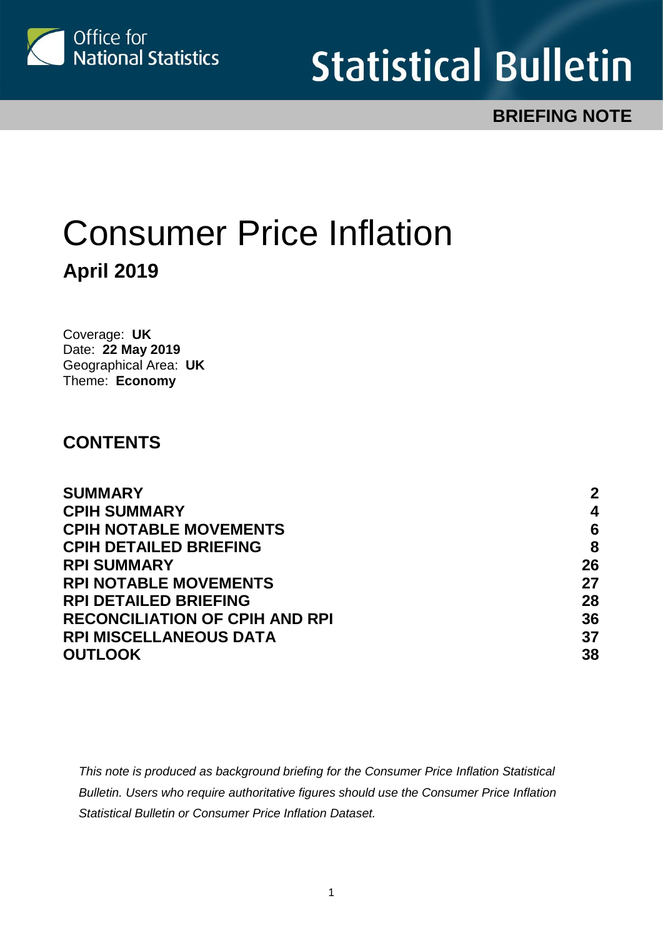

# **Statistical Bulletin**

# **BRIEFING NOTE**

# Consumer Price Inflation **April 2019**

Coverage: **UK** Date: **22 May 2019** Geographical Area: **UK** Theme: **Economy**

### **CONTENTS**

| <b>SUMMARY</b>                        | $\mathbf 2$ |
|---------------------------------------|-------------|
| <b>CPIH SUMMARY</b>                   | 4           |
| <b>CPIH NOTABLE MOVEMENTS</b>         | 6           |
| <b>CPIH DETAILED BRIEFING</b>         | 8           |
| <b>RPI SUMMARY</b>                    | 26          |
| <b>RPI NOTABLE MOVEMENTS</b>          | 27          |
| <b>RPI DETAILED BRIEFING</b>          | 28          |
| <b>RECONCILIATION OF CPIH AND RPI</b> | 36          |
| <b>RPI MISCELLANEOUS DATA</b>         | 37          |
| <b>OUTLOOK</b>                        | 38          |
|                                       |             |

*This note is produced as background briefing for the Consumer Price Inflation Statistical Bulletin. Users who require authoritative figures should use the Consumer Price Inflation Statistical Bulletin or Consumer Price Inflation Dataset.*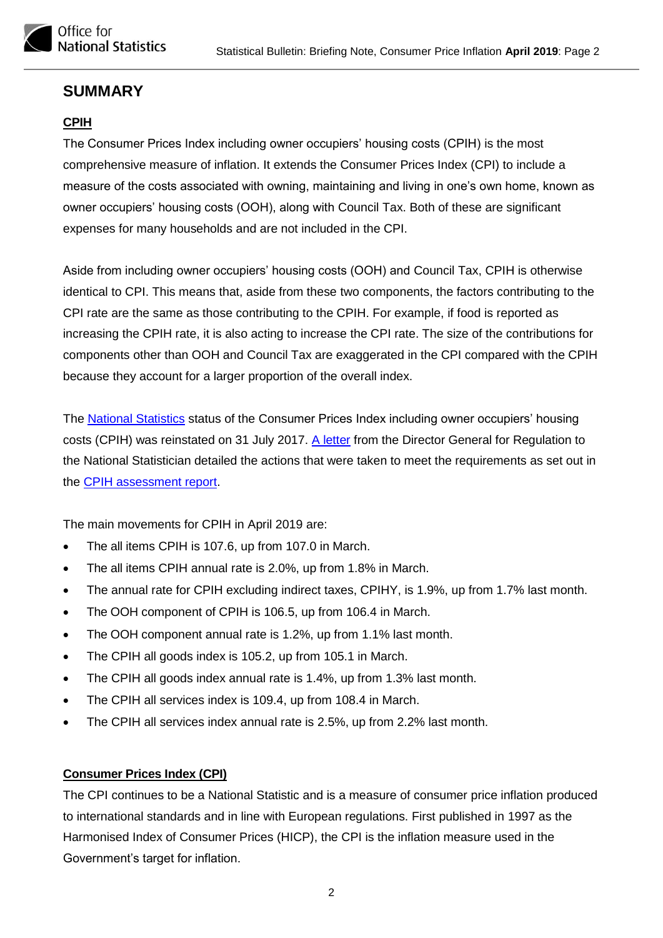

#### <span id="page-1-0"></span>**SUMMARY**

#### **CPIH**

The Consumer Prices Index including owner occupiers' housing costs (CPIH) is the most comprehensive measure of inflation. It extends the Consumer Prices Index (CPI) to include a measure of the costs associated with owning, maintaining and living in one's own home, known as owner occupiers' housing costs (OOH), along with Council Tax. Both of these are significant expenses for many households and are not included in the CPI.

Aside from including owner occupiers' housing costs (OOH) and Council Tax, CPIH is otherwise identical to CPI. This means that, aside from these two components, the factors contributing to the CPI rate are the same as those contributing to the CPIH. For example, if food is reported as increasing the CPIH rate, it is also acting to increase the CPI rate. The size of the contributions for components other than OOH and Council Tax are exaggerated in the CPI compared with the CPIH because they account for a larger proportion of the overall index.

The [National Statistics](https://www.statisticsauthority.gov.uk/national-statistician/types-of-official-statistics/) status of the Consumer Prices Index including owner occupiers' housing costs (CPIH) was reinstated on 31 July 2017. [A letter](https://www.statisticsauthority.gov.uk/wp-content/uploads/2017/07/CPIH-letter-from-Ed-Humpherson-to-John-Pullinger-final.pdf) from the Director General for Regulation to the National Statistician detailed the actions that were taken to meet the requirements as set out in the [CPIH assessment report.](https://www.statisticsauthority.gov.uk/publication/statistics-on-consumer-price-inflation-including-owner-occupiers-housing-costs/)

The main movements for CPIH in April 2019 are:

- The all items CPIH is 107.6, up from 107.0 in March.
- The all items CPIH annual rate is 2.0%, up from 1.8% in March.
- The annual rate for CPIH excluding indirect taxes, CPIHY, is 1.9%, up from 1.7% last month.
- The OOH component of CPIH is 106.5, up from 106.4 in March.
- The OOH component annual rate is 1.2%, up from 1.1% last month.
- The CPIH all goods index is 105.2, up from 105.1 in March.
- The CPIH all goods index annual rate is 1.4%, up from 1.3% last month.
- The CPIH all services index is 109.4, up from 108.4 in March.
- The CPIH all services index annual rate is 2.5%, up from 2.2% last month.

#### **Consumer Prices Index (CPI)**

The CPI continues to be a National Statistic and is a measure of consumer price inflation produced to international standards and in line with European regulations. First published in 1997 as the Harmonised Index of Consumer Prices (HICP), the CPI is the inflation measure used in the Government's target for inflation.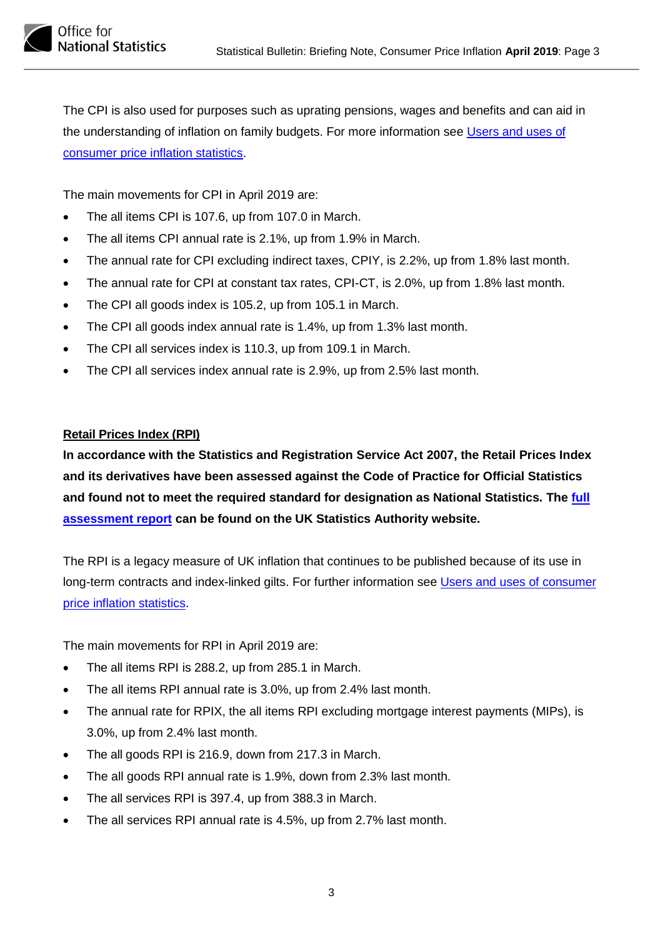

The CPI is also used for purposes such as uprating pensions, wages and benefits and can aid in the understanding of inflation on family budgets. For more information see [Users and uses of](https://www.ons.gov.uk/economy/inflationandpriceindices/methodologies/usersandusesofconsumerpriceinflationstatisticsjuly2018update)  [consumer price inflation statistics.](https://www.ons.gov.uk/economy/inflationandpriceindices/methodologies/usersandusesofconsumerpriceinflationstatisticsjuly2018update)

The main movements for CPI in April 2019 are:

- The all items CPI is 107.6, up from 107.0 in March.
- The all items CPI annual rate is 2.1%, up from 1.9% in March.
- The annual rate for CPI excluding indirect taxes, CPIY, is 2.2%, up from 1.8% last month.
- The annual rate for CPI at constant tax rates, CPI-CT, is 2.0%, up from 1.8% last month.
- The CPI all goods index is 105.2, up from 105.1 in March.
- The CPI all goods index annual rate is 1.4%, up from 1.3% last month.
- The CPI all services index is 110.3, up from 109.1 in March.
- The CPI all services index annual rate is 2.9%, up from 2.5% last month.

#### **Retail Prices Index (RPI)**

**In accordance with the Statistics and Registration Service Act 2007, the Retail Prices Index and its derivatives have been assessed against the Code of Practice for Official Statistics and found not to meet the required standard for designation as National Statistics. The [full](https://www.statisticsauthority.gov.uk/publication/the-retail-prices-index/)  [assessment report](https://www.statisticsauthority.gov.uk/publication/the-retail-prices-index/) can be found on the UK Statistics Authority website.**

The RPI is a legacy measure of UK inflation that continues to be published because of its use in long-term contracts and index-linked gilts. For further information see [Users and uses of consumer](https://www.ons.gov.uk/economy/inflationandpriceindices/methodologies/usersandusesofconsumerpriceinflationstatisticsjuly2018update)  [price inflation statistics.](https://www.ons.gov.uk/economy/inflationandpriceindices/methodologies/usersandusesofconsumerpriceinflationstatisticsjuly2018update)

The main movements for RPI in April 2019 are:

- The all items RPI is 288.2, up from 285.1 in March.
- The all items RPI annual rate is 3.0%, up from 2.4% last month.
- The annual rate for RPIX, the all items RPI excluding mortgage interest payments (MIPs), is 3.0%, up from 2.4% last month.
- The all goods RPI is 216.9, down from 217.3 in March.
- The all goods RPI annual rate is 1.9%, down from 2.3% last month.
- The all services RPI is 397.4, up from 388.3 in March.
- The all services RPI annual rate is 4.5%, up from 2.7% last month.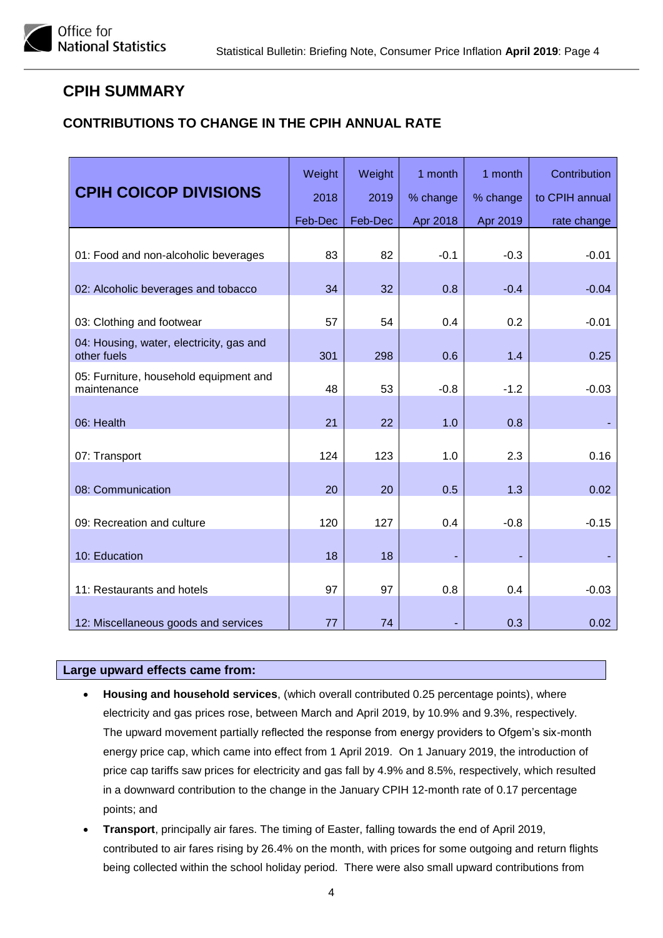#### <span id="page-3-0"></span>**CPIH SUMMARY**

#### **CONTRIBUTIONS TO CHANGE IN THE CPIH ANNUAL RATE**

| <b>CPIH COICOP DIVISIONS</b>                            | Weight  | Weight  | 1 month  | 1 month  | Contribution   |
|---------------------------------------------------------|---------|---------|----------|----------|----------------|
|                                                         | 2018    | 2019    | % change | % change | to CPIH annual |
|                                                         | Feb-Dec | Feb-Dec | Apr 2018 | Apr 2019 | rate change    |
| 01: Food and non-alcoholic beverages                    | 83      | 82      | $-0.1$   | $-0.3$   | $-0.01$        |
| 02: Alcoholic beverages and tobacco                     | 34      | 32      | 0.8      | $-0.4$   | $-0.04$        |
| 03: Clothing and footwear                               | 57      | 54      | 0.4      | 0.2      | $-0.01$        |
| 04: Housing, water, electricity, gas and<br>other fuels | 301     | 298     | 0.6      | 1.4      | 0.25           |
| 05: Furniture, household equipment and<br>maintenance   | 48      | 53      | $-0.8$   | $-1.2$   | $-0.03$        |
| 06: Health                                              | 21      | 22      | 1.0      | 0.8      |                |
| 07: Transport                                           | 124     | 123     | 1.0      | 2.3      | 0.16           |
| 08: Communication                                       | 20      | 20      | 0.5      | 1.3      | 0.02           |
| 09: Recreation and culture                              | 120     | 127     | 0.4      | $-0.8$   | $-0.15$        |
| 10: Education                                           | 18      | 18      |          |          |                |
| 11: Restaurants and hotels                              | 97      | 97      | 0.8      | 0.4      | $-0.03$        |
| 12: Miscellaneous goods and services                    | 77      | 74      |          | 0.3      | 0.02           |

#### **Large upward effects came from:**

- **Housing and household services**, (which overall contributed 0.25 percentage points), where electricity and gas prices rose, between March and April 2019, by 10.9% and 9.3%, respectively. The upward movement partially reflected the response from energy providers to Ofgem's six-month energy price cap, which came into effect from 1 April 2019. On 1 January 2019, the introduction of price cap tariffs saw prices for electricity and gas fall by 4.9% and 8.5%, respectively, which resulted in a downward contribution to the change in the January CPIH 12-month rate of 0.17 percentage points; and
- **Transport**, principally air fares. The timing of Easter, falling towards the end of April 2019, contributed to air fares rising by 26.4% on the month, with prices for some outgoing and return flights being collected within the school holiday period. There were also small upward contributions from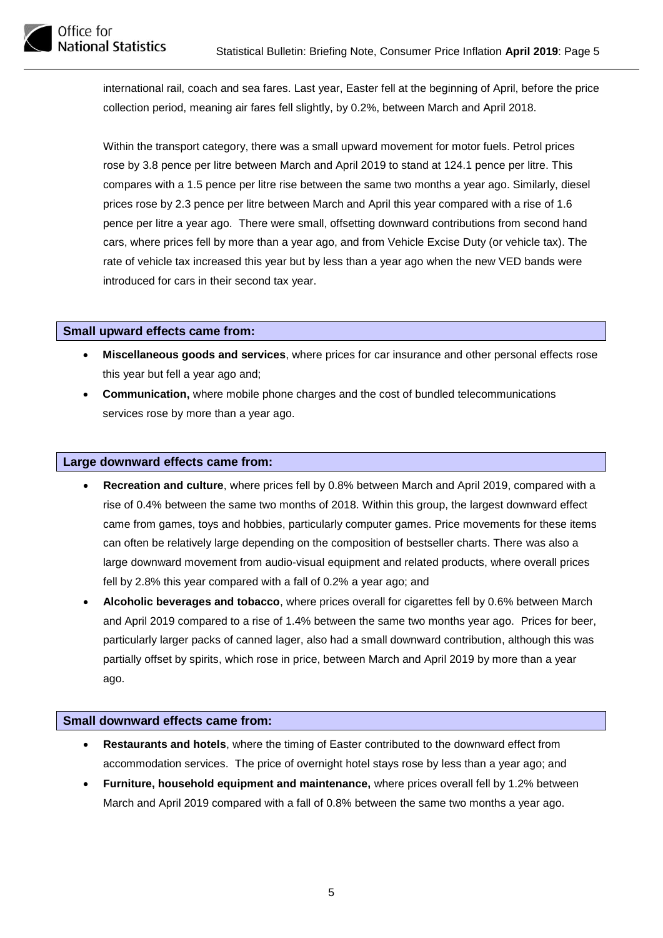

international rail, coach and sea fares. Last year, Easter fell at the beginning of April, before the price collection period, meaning air fares fell slightly, by 0.2%, between March and April 2018.

Within the transport category, there was a small upward movement for motor fuels. Petrol prices rose by 3.8 pence per litre between March and April 2019 to stand at 124.1 pence per litre. This compares with a 1.5 pence per litre rise between the same two months a year ago. Similarly, diesel prices rose by 2.3 pence per litre between March and April this year compared with a rise of 1.6 pence per litre a year ago. There were small, offsetting downward contributions from second hand cars, where prices fell by more than a year ago, and from Vehicle Excise Duty (or vehicle tax). The rate of vehicle tax increased this year but by less than a year ago when the new VED bands were introduced for cars in their second tax year.

#### **Small upward effects came from:**

- **Miscellaneous goods and services**, where prices for car insurance and other personal effects rose this year but fell a year ago and;
- **Communication,** where mobile phone charges and the cost of bundled telecommunications services rose by more than a year ago.

#### **Large downward effects came from:**

- **Recreation and culture**, where prices fell by 0.8% between March and April 2019, compared with a rise of 0.4% between the same two months of 2018. Within this group, the largest downward effect came from games, toys and hobbies, particularly computer games. Price movements for these items can often be relatively large depending on the composition of bestseller charts. There was also a large downward movement from audio-visual equipment and related products, where overall prices fell by 2.8% this year compared with a fall of 0.2% a year ago; and
- **Alcoholic beverages and tobacco**, where prices overall for cigarettes fell by 0.6% between March and April 2019 compared to a rise of 1.4% between the same two months year ago. Prices for beer, particularly larger packs of canned lager, also had a small downward contribution, although this was partially offset by spirits, which rose in price, between March and April 2019 by more than a year ago.

#### **Small downward effects came from:**

- **Restaurants and hotels**, where the timing of Easter contributed to the downward effect from accommodation services. The price of overnight hotel stays rose by less than a year ago; and
- **Furniture, household equipment and maintenance,** where prices overall fell by 1.2% between March and April 2019 compared with a fall of 0.8% between the same two months a year ago.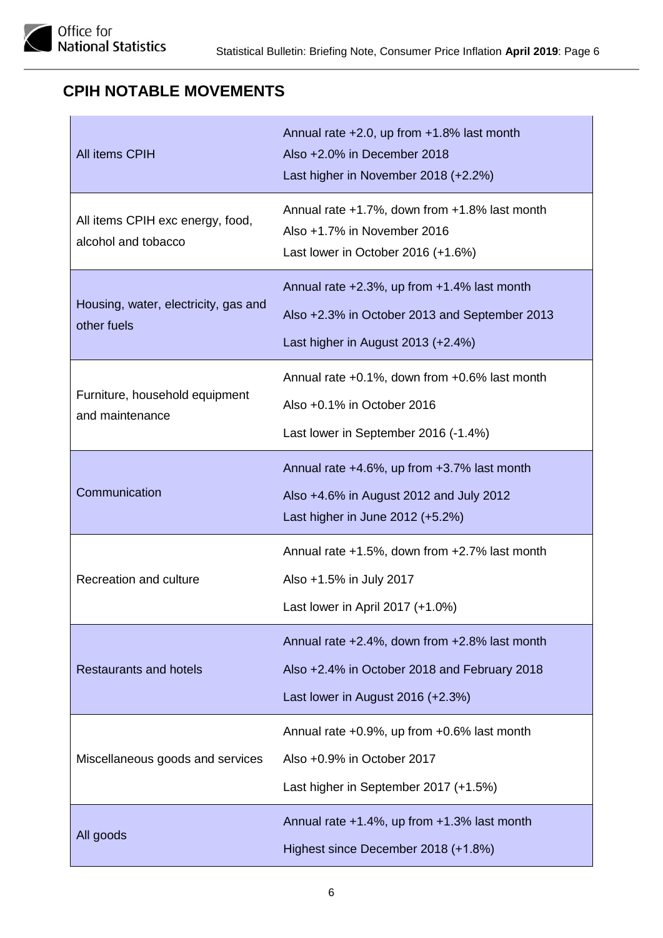# <span id="page-5-0"></span>**CPIH NOTABLE MOVEMENTS**

| All items CPIH                                          | Annual rate +2.0, up from +1.8% last month<br>Also +2.0% in December 2018<br>Last higher in November 2018 (+2.2%)                  |
|---------------------------------------------------------|------------------------------------------------------------------------------------------------------------------------------------|
| All items CPIH exc energy, food,<br>alcohol and tobacco | Annual rate $+1.7\%$ , down from $+1.8\%$ last month<br>Also +1.7% in November 2016<br>Last lower in October 2016 (+1.6%)          |
| Housing, water, electricity, gas and<br>other fuels     | Annual rate +2.3%, up from +1.4% last month<br>Also +2.3% in October 2013 and September 2013<br>Last higher in August 2013 (+2.4%) |
| Furniture, household equipment<br>and maintenance       | Annual rate +0.1%, down from +0.6% last month<br>Also +0.1% in October 2016<br>Last lower in September 2016 (-1.4%)                |
| Communication                                           | Annual rate +4.6%, up from +3.7% last month<br>Also +4.6% in August 2012 and July 2012<br>Last higher in June $2012 (+5.2%)$       |
| Recreation and culture                                  | Annual rate +1.5%, down from +2.7% last month<br>Also +1.5% in July 2017<br>Last lower in April 2017 (+1.0%)                       |
| <b>Restaurants and hotels</b>                           | Annual rate +2.4%, down from +2.8% last month<br>Also +2.4% in October 2018 and February 2018<br>Last lower in August 2016 (+2.3%) |
| Miscellaneous goods and services                        | Annual rate +0.9%, up from +0.6% last month<br>Also +0.9% in October 2017<br>Last higher in September 2017 (+1.5%)                 |
| All goods                                               | Annual rate +1.4%, up from +1.3% last month<br>Highest since December 2018 (+1.8%)                                                 |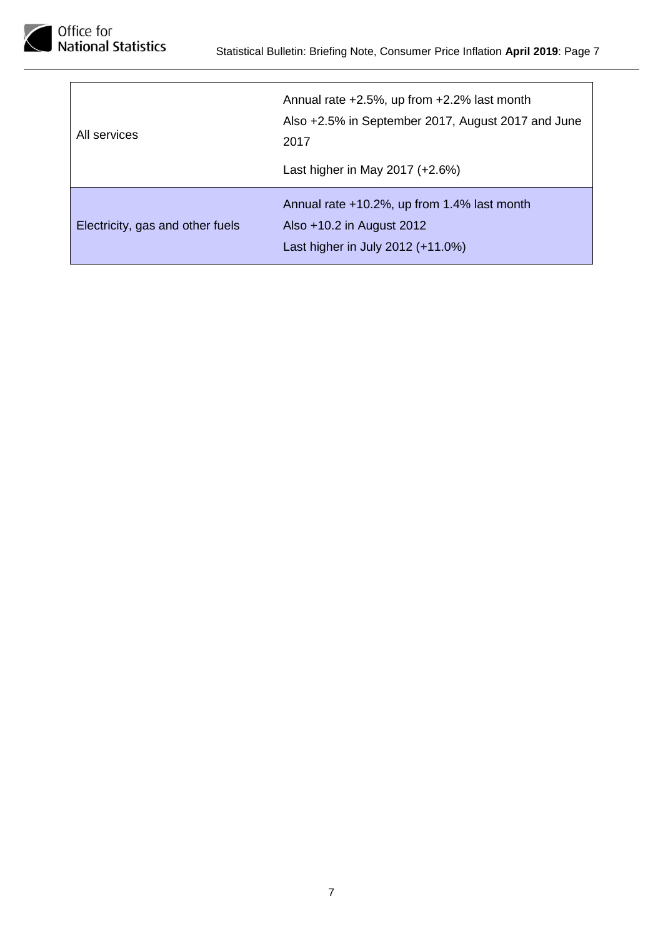

| All services                     | Annual rate +2.5%, up from +2.2% last month<br>Also +2.5% in September 2017, August 2017 and June<br>2017<br>Last higher in May 2017 (+2.6%) |
|----------------------------------|----------------------------------------------------------------------------------------------------------------------------------------------|
| Electricity, gas and other fuels | Annual rate +10.2%, up from 1.4% last month<br>Also +10.2 in August 2012<br>Last higher in July 2012 (+11.0%)                                |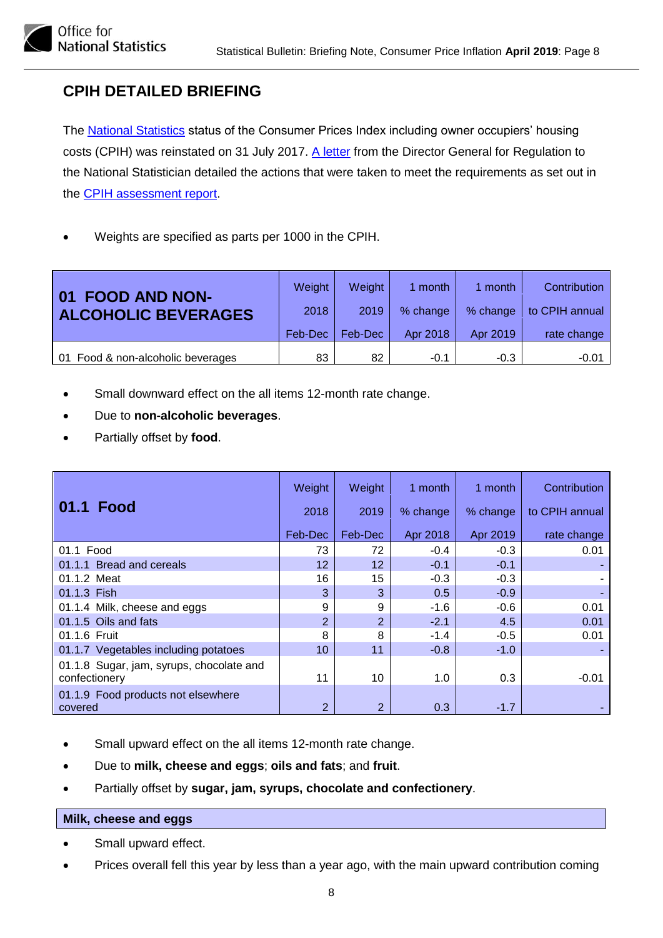# <span id="page-7-0"></span>**CPIH DETAILED BRIEFING**

Office for

**National Statistics** 

The [National Statistics](https://www.statisticsauthority.gov.uk/national-statistician/types-of-official-statistics/) status of the Consumer Prices Index including owner occupiers' housing costs (CPIH) was reinstated on 31 July 2017. [A letter](https://www.statisticsauthority.gov.uk/wp-content/uploads/2017/07/CPIH-letter-from-Ed-Humpherson-to-John-Pullinger-final.pdf) from the Director General for Regulation to the National Statistician detailed the actions that were taken to meet the requirements as set out in the [CPIH assessment report.](https://www.statisticsauthority.gov.uk/publication/statistics-on-consumer-price-inflation-including-owner-occupiers-housing-costs/)

• Weights are specified as parts per 1000 in the CPIH.

| <b>FOOD AND NON-</b><br>$\mathbf{0}$ 1<br><b>ALCOHOLIC BEVERAGES</b> | Weight<br>2018 | Weight<br>2019 | 1 month<br>% change | 1 month<br>% change | Contribution<br>to CPIH annual |
|----------------------------------------------------------------------|----------------|----------------|---------------------|---------------------|--------------------------------|
|                                                                      | Feb-Dec        | Feb-Dec        | Apr 2018            | Apr 2019            | rate change                    |
| 01 Food & non-alcoholic beverages                                    | 83             | 82             | $-0.1$              | $-0.3$              | $-0.01$                        |

- Small downward effect on the all items 12-month rate change.
- Due to **non-alcoholic beverages**.
- Partially offset by **food**.

|                                                           | Weight         | Weight         | 1 month  | 1 month  | Contribution   |
|-----------------------------------------------------------|----------------|----------------|----------|----------|----------------|
| 01.1 Food                                                 | 2018           | 2019           | % change | % change | to CPIH annual |
|                                                           | Feb-Dec        | Feb-Dec        | Apr 2018 | Apr 2019 | rate change    |
| 01.1 Food                                                 | 73             | 72             | $-0.4$   | $-0.3$   | 0.01           |
| 01.1.1 Bread and cereals                                  | 12             | 12             | $-0.1$   | $-0.1$   |                |
| 01.1.2 Meat                                               | 16             | 15             | $-0.3$   | $-0.3$   |                |
| 01.1.3 Fish                                               | 3              | 3              | 0.5      | $-0.9$   |                |
| 01.1.4 Milk, cheese and eggs                              | 9              | 9              | $-1.6$   | $-0.6$   | 0.01           |
| 01.1.5 Oils and fats                                      | $\overline{2}$ | $\overline{2}$ | $-2.1$   | 4.5      | 0.01           |
| 01.1.6 Fruit                                              | 8              | 8              | $-1.4$   | $-0.5$   | 0.01           |
| 01.1.7 Vegetables including potatoes                      | 10             | 11             | $-0.8$   | $-1.0$   |                |
| 01.1.8 Sugar, jam, syrups, chocolate and<br>confectionery | 11             | 10             | 1.0      | 0.3      | $-0.01$        |
| 01.1.9 Food products not elsewhere<br>covered             | $\overline{2}$ | $\overline{2}$ | 0.3      | $-1.7$   |                |

- Small upward effect on the all items 12-month rate change.
- Due to **milk, cheese and eggs**; **oils and fats**; and **fruit**.
- Partially offset by **sugar, jam, syrups, chocolate and confectionery**.

#### **Milk, cheese and eggs**

- Small upward effect.
- Prices overall fell this year by less than a year ago, with the main upward contribution coming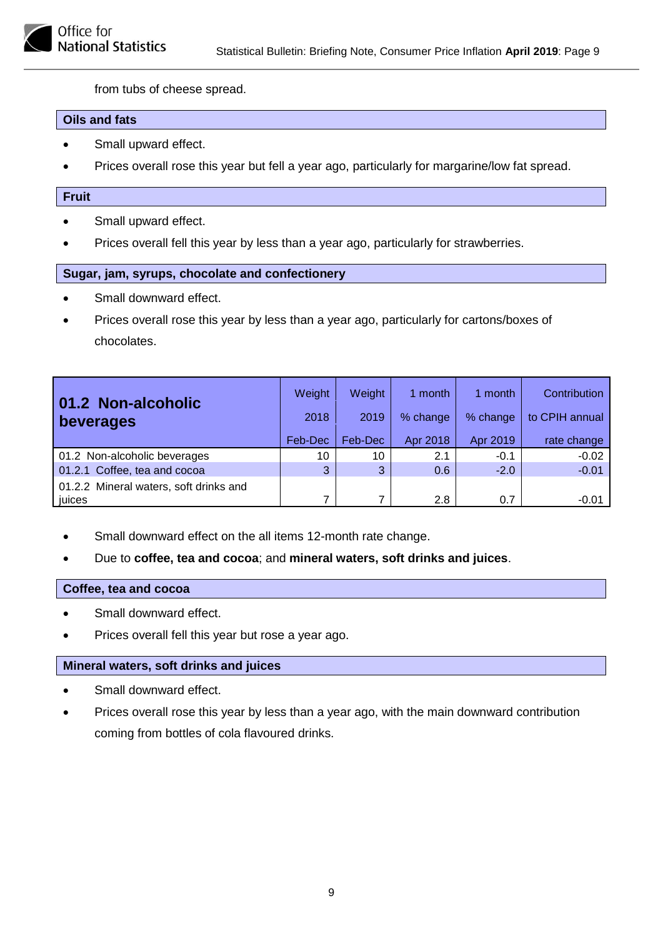from tubs of cheese spread.

#### **Oils and fats**

- Small upward effect.
- Prices overall rose this year but fell a year ago, particularly for margarine/low fat spread.

#### **Fruit**

- Small upward effect.
- Prices overall fell this year by less than a year ago, particularly for strawberries.

#### **Sugar, jam, syrups, chocolate and confectionery**

- Small downward effect.
- Prices overall rose this year by less than a year ago, particularly for cartons/boxes of chocolates.

| 01.2 Non-alcoholic<br>beverages                  | Weight<br>2018<br>Feb-Dec | Weight<br>2019<br>Feb-Dec | 1 month<br>% change<br>Apr 2018 | 1 month<br>% change<br>Apr 2019 | Contribution<br>to CPIH annual<br>rate change |
|--------------------------------------------------|---------------------------|---------------------------|---------------------------------|---------------------------------|-----------------------------------------------|
| 01.2 Non-alcoholic beverages                     | 10                        | 10                        | 2.1                             | $-0.1$                          | $-0.02$                                       |
| 01.2.1 Coffee, tea and cocoa                     | 3                         | 3                         | 0.6                             | $-2.0$                          | $-0.01$                                       |
| 01.2.2 Mineral waters, soft drinks and<br>juices | 7                         | 7                         | 2.8                             | 0.7                             | $-0.01$                                       |

- Small downward effect on the all items 12-month rate change.
- Due to **coffee, tea and cocoa**; and **mineral waters, soft drinks and juices**.

#### **Coffee, tea and cocoa**

- Small downward effect.
- Prices overall fell this year but rose a year ago.

#### **Mineral waters, soft drinks and juices**

- Small downward effect.
- Prices overall rose this year by less than a year ago, with the main downward contribution coming from bottles of cola flavoured drinks.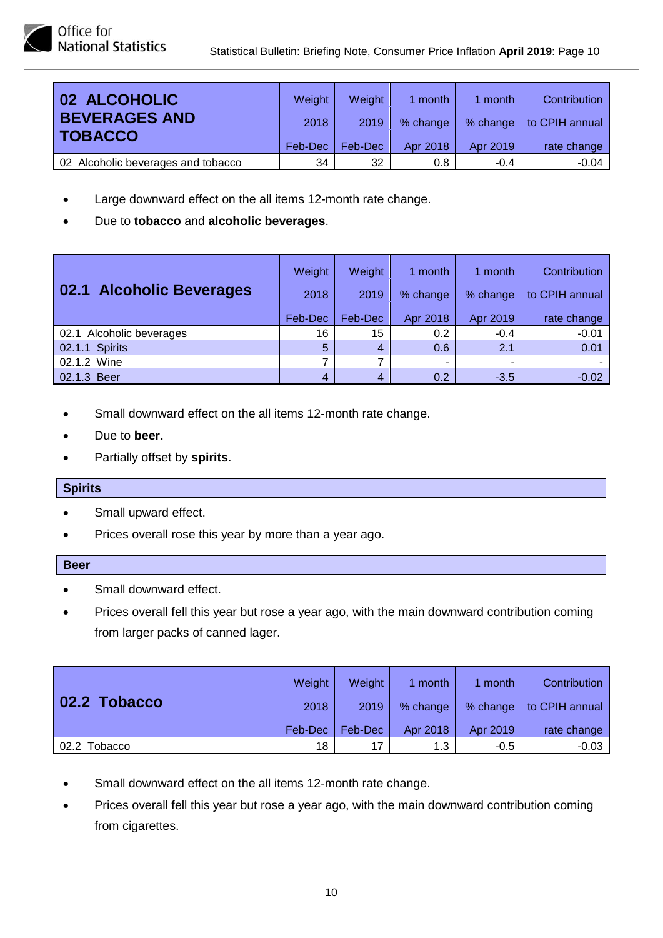| 02 ALCOHOLIC                           | Weight  | Weight  | 1 month  | 1 month  | Contribution   |
|----------------------------------------|---------|---------|----------|----------|----------------|
| <b>BEVERAGES AND</b><br><b>TOBACCO</b> | 2018    | 2019    | % change | % change | to CPIH annual |
|                                        | Feb-Dec | Feb-Dec | Apr 2018 | Apr 2019 | rate change    |
| 02 Alcoholic beverages and tobacco     | 34      | 32      | 0.8      | $-0.4$   | $-0.04$        |

- Large downward effect on the all items 12-month rate change.
- Due to **tobacco** and **alcoholic beverages**.

|                          | Weight  | Weight         | 1 month  | 1 month  | Contribution   |
|--------------------------|---------|----------------|----------|----------|----------------|
| 02.1 Alcoholic Beverages | 2018    | 2019           | % change | % change | to CPIH annual |
|                          | Feb-Dec | Feb-Dec        | Apr 2018 | Apr 2019 | rate change    |
| 02.1 Alcoholic beverages | 16      | 15             | 0.2      | $-0.4$   | $-0.01$        |
| 02.1.1 Spirits           | 5       | $\overline{4}$ | 0.6      | 2.1      | 0.01           |
| 02.1.2 Wine              | 7       |                | ۰        |          |                |
| 02.1.3 Beer              | 4       | 4              | 0.2      | $-3.5$   | $-0.02$        |

- Small downward effect on the all items 12-month rate change.
- Due to **beer.**
- Partially offset by **spirits**.

#### **Spirits**

- Small upward effect.
- Prices overall rose this year by more than a year ago.

#### **Beer**

- Small downward effect.
- Prices overall fell this year but rose a year ago, with the main downward contribution coming from larger packs of canned lager.

| 02.2 Tobacco | Weight  | <b>Weight</b> | 1 month  | 1 month  | Contribution   |
|--------------|---------|---------------|----------|----------|----------------|
|              | 2018    | 2019          | % change | % change | to CPIH annual |
|              | Feb-Dec | Feb-Dec       | Apr 2018 | Apr 2019 | rate change    |
| 02.2 Tobacco | 18      | 17            | 1.3      | $-0.5$   | $-0.03$        |

- Small downward effect on the all items 12-month rate change.
- Prices overall fell this year but rose a year ago, with the main downward contribution coming from cigarettes.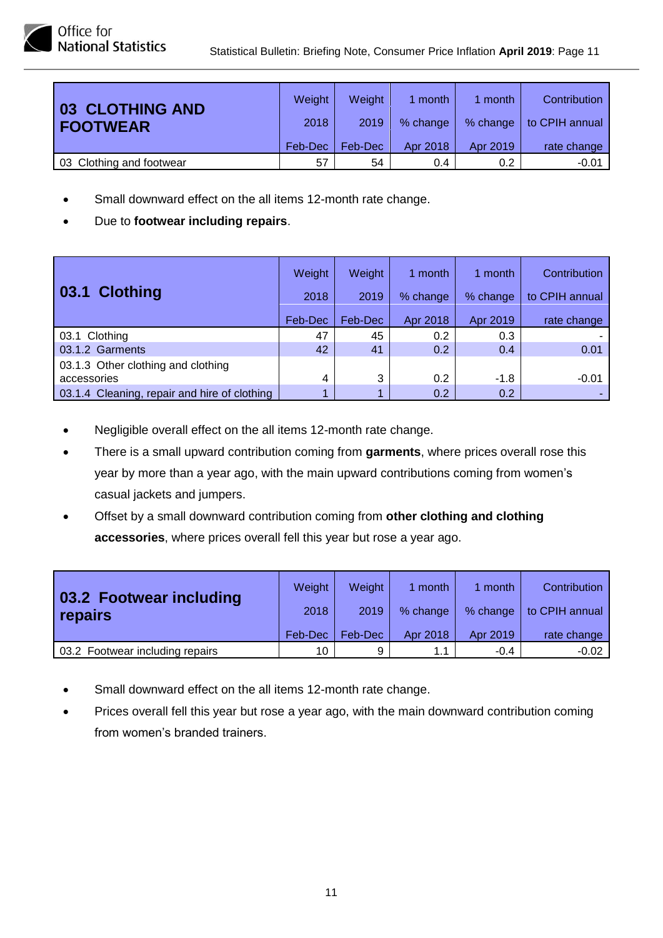| 03 CLOTHING AND          | Weight  | Weight  | 1 month  | 1 month       | <b>Contribution</b> |
|--------------------------|---------|---------|----------|---------------|---------------------|
| <b>FOOTWEAR</b>          | 2018    | 2019    | % change | % change      | to CPIH annual      |
|                          | Feb-Dec | Feb-Dec | Apr 2018 | Apr 2019      | rate change         |
| 03 Clothing and footwear | 57      | 54      | 0.4      | $0.2^{\circ}$ | $-0.01$             |

- Small downward effect on the all items 12-month rate change.
- Due to **footwear including repairs**.

|                                                   | Weight  | Weight  | 1 month  | 1 month  | Contribution   |
|---------------------------------------------------|---------|---------|----------|----------|----------------|
| 03.1 Clothing                                     | 2018    | 2019    | % change | % change | to CPIH annual |
|                                                   | Feb-Dec | Feb-Dec | Apr 2018 | Apr 2019 | rate change    |
| 03.1 Clothing                                     | 47      | 45      | 0.2      | 0.3      |                |
| 03.1.2 Garments                                   | 42      | 41      | 0.2      | 0.4      | 0.01           |
| 03.1.3 Other clothing and clothing<br>accessories | 4       | 3       | 0.2      | $-1.8$   | $-0.01$        |
| 03.1.4 Cleaning, repair and hire of clothing      |         |         | 0.2      | 0.2      |                |

- Negligible overall effect on the all items 12-month rate change.
- There is a small upward contribution coming from **garments**, where prices overall rose this year by more than a year ago, with the main upward contributions coming from women's casual jackets and jumpers.
- Offset by a small downward contribution coming from **other clothing and clothing accessories**, where prices overall fell this year but rose a year ago.

| 03.2 Footwear including         | Weight  | Weight  | 1 month  | month    | Contribution   |
|---------------------------------|---------|---------|----------|----------|----------------|
| repairs                         | 2018    | 2019    | % change | % change | to CPIH annual |
|                                 | Feb-Dec | Feb-Dec | Apr 2018 | Apr 2019 | rate change    |
| 03.2 Footwear including repairs | 10      | 9       | 1.1      | $-0.4$   | $-0.02$        |

- Small downward effect on the all items 12-month rate change.
- Prices overall fell this year but rose a year ago, with the main downward contribution coming from women's branded trainers.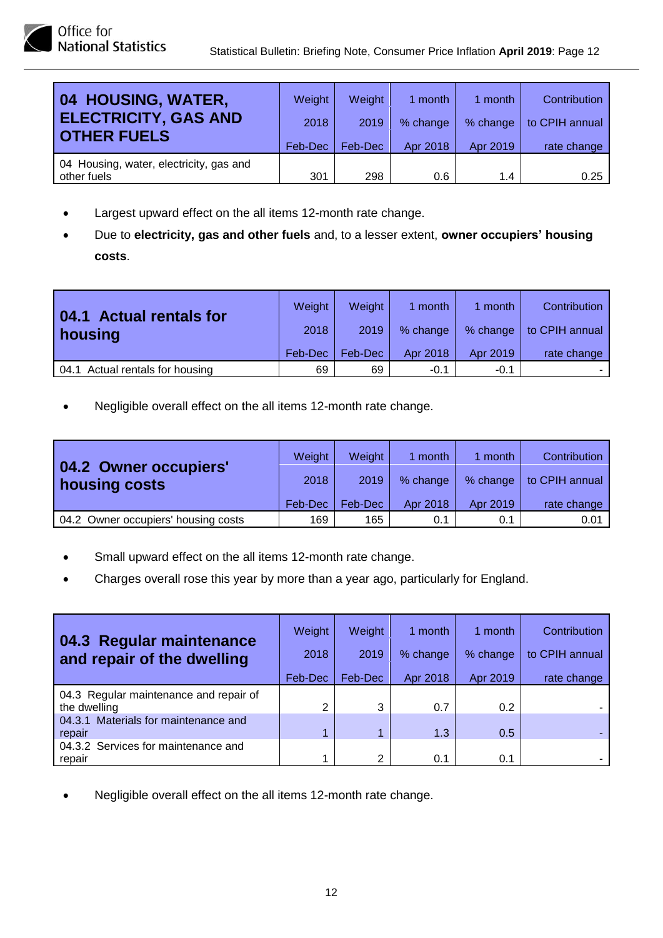| 04 HOUSING, WATER,                      | Weight  | Weight  | 1 month  | 1 month  | Contribution   |
|-----------------------------------------|---------|---------|----------|----------|----------------|
| <b>ELECTRICITY, GAS AND</b>             | 2018    | 2019    | % change | % change | to CPIH annual |
| <b>OTHER FUELS</b>                      | Feb-Dec | Feb-Dec | Apr 2018 | Apr 2019 | rate change    |
| 04 Housing, water, electricity, gas and |         |         |          |          |                |
| other fuels                             | 301     | 298     | 0.6      | 1.4      | 0.25           |

- Largest upward effect on the all items 12-month rate change.
- Due to **electricity, gas and other fuels** and, to a lesser extent, **owner occupiers' housing costs**.

| 04.1 Actual rentals for<br>housing | Weight<br>2018 | Weight<br>2019 | 1 month<br>% change | month<br>% change | Contribution<br>to CPIH annual |
|------------------------------------|----------------|----------------|---------------------|-------------------|--------------------------------|
|                                    | Feb-Dec        | Feb-Dec        | Apr 2018            | Apr 2019          | rate change                    |
| 04.1 Actual rentals for housing    | 69             | 69             | $-0.1$              | $-0.1$            |                                |

| 04.2 Owner occupiers'               | Weight  | <b>Weight</b> | 1 month  | 1 month  | Contribution   |
|-------------------------------------|---------|---------------|----------|----------|----------------|
| housing costs                       | 2018    | 2019          | % change | % change | to CPIH annual |
|                                     | Feb-Dec | Feb-Dec       | Apr 2018 | Apr 2019 | rate change    |
| 04.2 Owner occupiers' housing costs | 169     | 165           | 0.1      | 0.1      | 0.01           |

- Small upward effect on the all items 12-month rate change.
- Charges overall rose this year by more than a year ago, particularly for England.

| 04.3 Regular maintenance<br>and repair of the dwelling | Weight<br>2018<br>Feb-Dec | Weight<br>2019<br>Feb-Dec | 1 month<br>% change<br>Apr 2018 | 1 month<br>% change<br>Apr 2019 | <b>Contribution</b><br>to CPIH annual<br>rate change |
|--------------------------------------------------------|---------------------------|---------------------------|---------------------------------|---------------------------------|------------------------------------------------------|
| 04.3 Regular maintenance and repair of<br>the dwelling | 2                         | 3                         | 0.7                             | 0.2                             |                                                      |
| 04.3.1 Materials for maintenance and<br>repair         |                           | 1                         | 1.3                             | 0.5                             |                                                      |
| 04.3.2 Services for maintenance and<br>repair          |                           | 2                         | 0.1                             | 0.1                             |                                                      |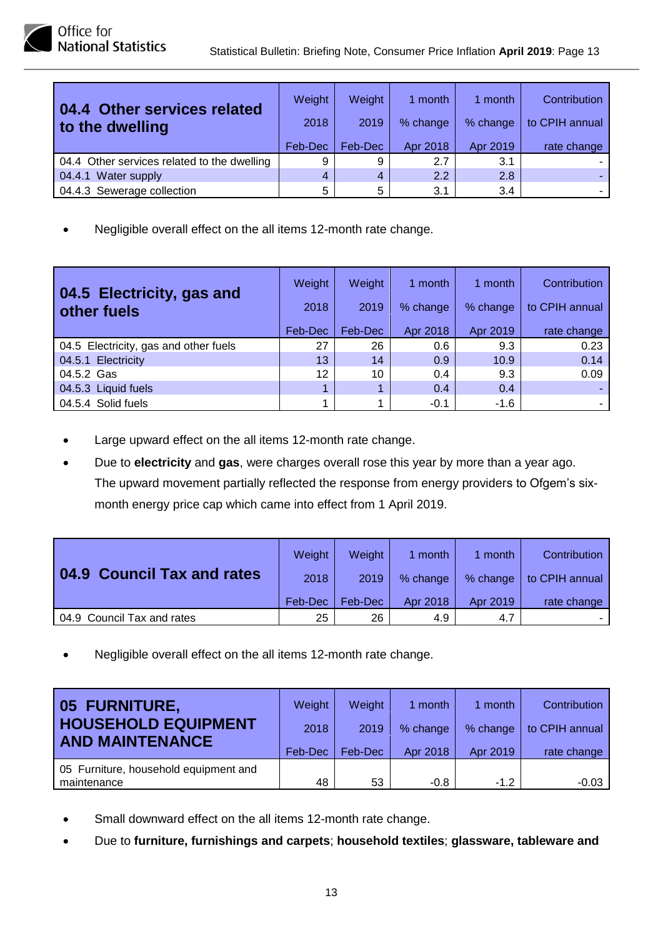| 04.4 Other services related<br>to the dwelling | Weight<br>2018 | Weight<br>2019 | 1 month<br>% change | 1 month<br>% change | Contribution<br>to CPIH annual |
|------------------------------------------------|----------------|----------------|---------------------|---------------------|--------------------------------|
|                                                | Feb-Dec        | Feb-Dec        | Apr 2018            | Apr 2019            | rate change                    |
| 04.4 Other services related to the dwelling    | 9              | 9              | 2.7                 | 3.1                 |                                |
| 04.4.1 Water supply                            | 4              | 4              | 2.2                 | 2.8                 |                                |
| 04.4.3 Sewerage collection                     | 5              | 5              | 3.1                 | 3.4                 |                                |

| 04.5 Electricity, gas and<br>other fuels | Weight<br>2018<br>Feb-Dec | Weight<br>2019<br>Feb-Dec | 1 month<br>% change<br>Apr 2018 | 1 month<br>% change<br>Apr 2019 | Contribution<br>to CPIH annual<br>rate change |
|------------------------------------------|---------------------------|---------------------------|---------------------------------|---------------------------------|-----------------------------------------------|
| 04.5 Electricity, gas and other fuels    | 27                        | 26                        | 0.6                             | 9.3                             | 0.23                                          |
| 04.5.1 Electricity                       | 13                        | 14                        | 0.9                             | 10.9                            | 0.14                                          |
| 04.5.2 Gas                               | 12                        | 10                        | 0.4                             | 9.3                             | 0.09                                          |
| 04.5.3 Liquid fuels                      |                           |                           | 0.4                             | 0.4                             |                                               |
| 04.5.4 Solid fuels                       |                           |                           | $-0.1$                          | $-1.6$                          |                                               |

- Large upward effect on the all items 12-month rate change.
- Due to **electricity** and **gas**, were charges overall rose this year by more than a year ago. The upward movement partially reflected the response from energy providers to Ofgem's sixmonth energy price cap which came into effect from 1 April 2019.

|                                      | Weight  | Weight  | 1 month  | 1 month  | Contribution   |
|--------------------------------------|---------|---------|----------|----------|----------------|
| <b>Council Tax and rates</b><br>04.9 | 2018    | 2019    | % change | % change | to CPIH annual |
|                                      | Feb-Dec | Feb-Dec | Apr 2018 | Apr 2019 | rate change    |
| 04.9 Council Tax and rates           | 25      | 26      | 4.9      | 4.7      |                |

| <b>05 FURNITURE,</b>                  | Weight  | Weight  | 1 month  | 1 month  | Contribution   |
|---------------------------------------|---------|---------|----------|----------|----------------|
| <b>HOUSEHOLD EQUIPMENT</b>            | 2018    | 2019    | % change | % change | to CPIH annual |
| <b>AND MAINTENANCE</b>                | Feb-Dec | Feb-Dec | Apr 2018 | Apr 2019 | rate change    |
| 05 Furniture, household equipment and |         |         |          |          |                |
| maintenance                           | 48      | 53      | $-0.8$   | $-1.2$   | $-0.03$        |

- Small downward effect on the all items 12-month rate change.
- Due to **furniture, furnishings and carpets**; **household textiles**; **glassware, tableware and**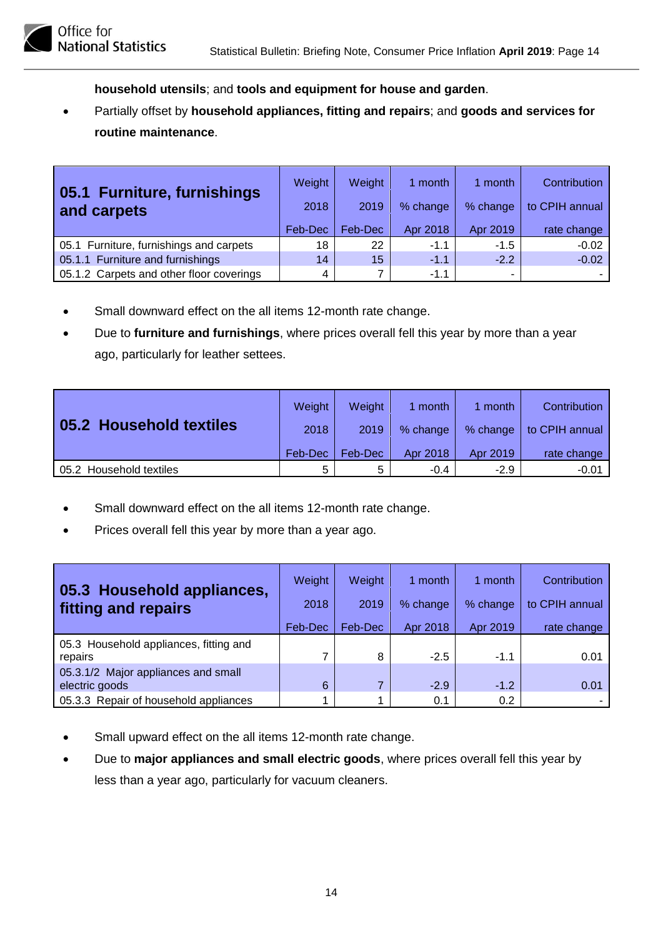**household utensils**; and **tools and equipment for house and garden**.

• Partially offset by **household appliances, fitting and repairs**; and **goods and services for routine maintenance**.

| 05.1 Furniture, furnishings<br>and carpets | Weight<br>2018 | Weight<br>2019 | 1 month<br>% change | 1 month<br>% change | <b>Contribution</b><br>to CPIH annual |
|--------------------------------------------|----------------|----------------|---------------------|---------------------|---------------------------------------|
|                                            | Feb-Dec        | Feb-Dec        | Apr 2018            | Apr 2019            | rate change                           |
| 05.1 Furniture, furnishings and carpets    | 18             | 22             | $-1.1$              | $-1.5$              | $-0.02$                               |
| 05.1.1 Furniture and furnishings           | 14             | 15             | $-1.1$              | $-2.2$              | $-0.02$                               |
| 05.1.2 Carpets and other floor coverings   | 4              |                | $-1.1$              |                     |                                       |

- Small downward effect on the all items 12-month rate change.
- Due to **furniture and furnishings**, where prices overall fell this year by more than a year ago, particularly for leather settees.

|                         | Weight  | <b>Weight</b> | 1 month  | 1 month  | Contribution   |
|-------------------------|---------|---------------|----------|----------|----------------|
| 05.2 Household textiles | 2018    | 2019          | % change | % change | to CPIH annual |
|                         | Feb-Dec | Feb-Dec       | Apr 2018 | Apr 2019 | rate change    |
| 05.2 Household textiles | 5       | 5             | $-0.4$   | $-2.9$   | $-0.01$        |

- Small downward effect on the all items 12-month rate change.
- Prices overall fell this year by more than a year ago.

| 05.3 Household appliances,<br>fitting and repairs     | Weight<br>2018 | Weight<br>2019 | 1 month<br>% change | 1 month<br>% change | Contribution<br>to CPIH annual |
|-------------------------------------------------------|----------------|----------------|---------------------|---------------------|--------------------------------|
|                                                       | Feb-Dec        | Feb-Dec        | Apr 2018            | Apr 2019            | rate change                    |
| 05.3 Household appliances, fitting and<br>repairs     | 7              | 8              | $-2.5$              | $-1.1$              | 0.01                           |
| 05.3.1/2 Major appliances and small<br>electric goods | 6              |                | $-2.9$              | $-1.2$              | 0.01                           |
| 05.3.3 Repair of household appliances                 |                |                | 0.1                 | 0.2                 |                                |

- Small upward effect on the all items 12-month rate change.
- Due to **major appliances and small electric goods**, where prices overall fell this year by less than a year ago, particularly for vacuum cleaners.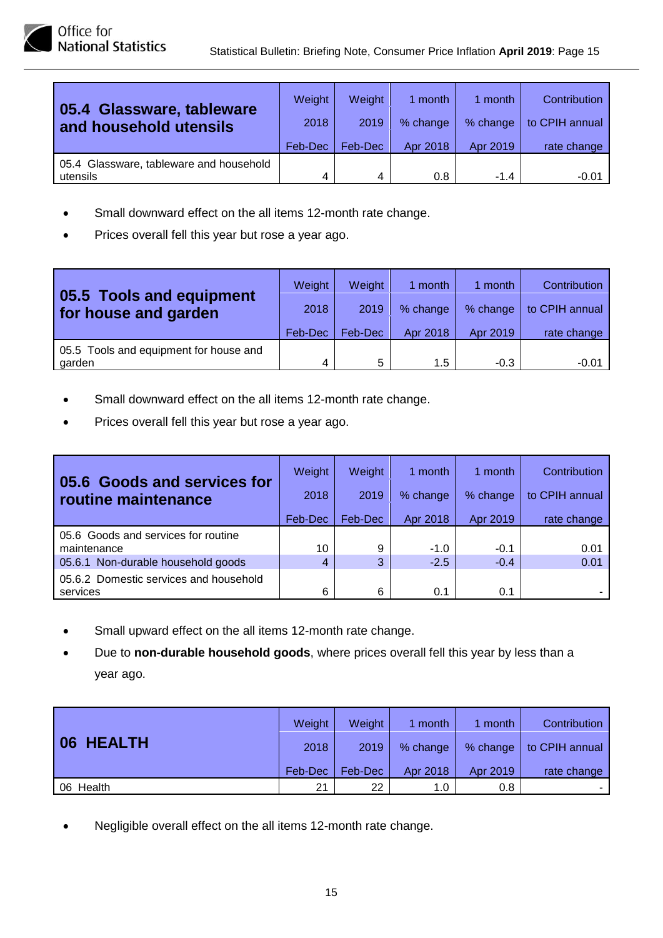| 05.4 Glassware, tableware               | Weight  | <b>Weight</b> | 1 month  | 1 month  | Contribution   |
|-----------------------------------------|---------|---------------|----------|----------|----------------|
| and household utensils                  | 2018    | 2019          | % change | % change | to CPIH annual |
|                                         | Feb-Dec | Feb-Dec       | Apr 2018 | Apr 2019 | rate change    |
| 05.4 Glassware, tableware and household |         |               |          |          |                |
| utensils                                | 4       | 4             | 0.8      | $-1.4$   | $-0.01$        |

- Small downward effect on the all items 12-month rate change.
- Prices overall fell this year but rose a year ago.

| 05.5 Tools and equipment               | Weight  | <b>Weight</b> | 1 month       | 1 month  | Contribution   |
|----------------------------------------|---------|---------------|---------------|----------|----------------|
| for house and garden                   | 2018    | 2019          | % change      | % change | to CPIH annual |
|                                        | Feb-Dec | Feb-Dec       | Apr 2018      | Apr 2019 | rate change    |
| 05.5 Tools and equipment for house and |         |               |               |          |                |
| garden                                 | 4       | 5             | $1.5^{\circ}$ | $-0.3$   | $-0.01$        |

- Small downward effect on the all items 12-month rate change.
- Prices overall fell this year but rose a year ago.

| 05.6 Goods and services for            | Weight  | Weight  | 1 month  | 1 month  | Contribution   |
|----------------------------------------|---------|---------|----------|----------|----------------|
| routine maintenance                    | 2018    | 2019    | % change | % change | to CPIH annual |
|                                        | Feb-Dec | Feb-Dec | Apr 2018 | Apr 2019 | rate change    |
| 05.6 Goods and services for routine    |         |         |          |          |                |
| maintenance                            | 10      | 9       | $-1.0$   | $-0.1$   | 0.01           |
| 05.6.1 Non-durable household goods     | 4       | 3       | $-2.5$   | $-0.4$   | 0.01           |
| 05.6.2 Domestic services and household |         |         |          |          |                |
| services                               | 6       | 6       | 0.1      | 0.1      |                |

- Small upward effect on the all items 12-month rate change.
- Due to **non-durable household goods**, where prices overall fell this year by less than a year ago.

|           | Weight  | Weight  | 1 month  | 1 month              | Contribution   |
|-----------|---------|---------|----------|----------------------|----------------|
| 06 HEALTH | 2018    | 2019    | % change | % change<br>Apr 2019 | to CPIH annual |
|           | Feb-Dec | Feb-Dec | Apr 2018 |                      | rate change    |
| 06 Health | 21      | 22      | 1.0      | 0.8                  |                |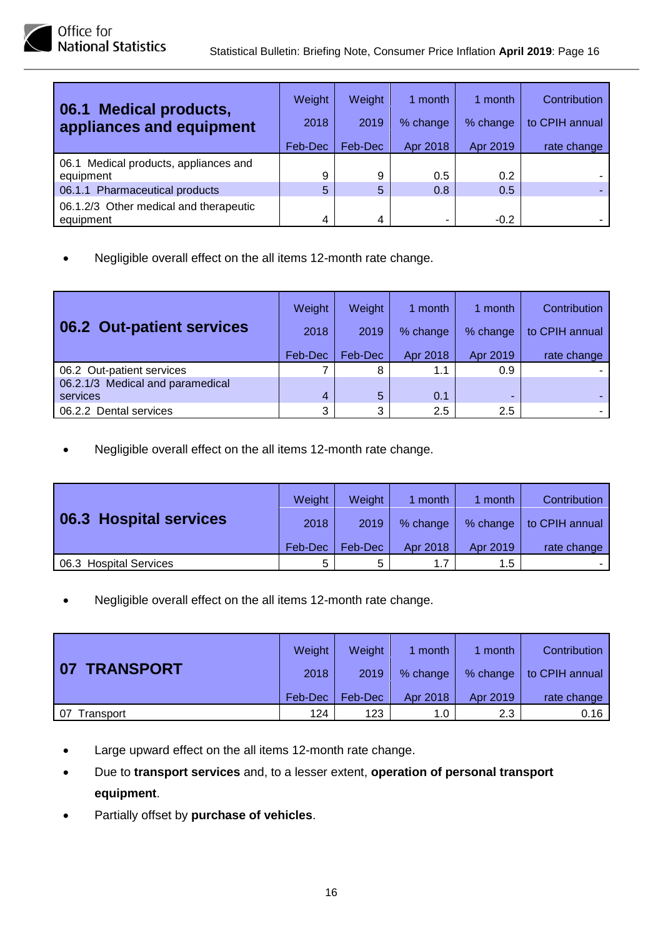| 06.1 Medical products,<br>appliances and equipment  | Weight<br>2018 | <b>Weight</b><br>2019 | 1 month<br>% change | 1 month<br>% change | Contribution<br>to CPIH annual |
|-----------------------------------------------------|----------------|-----------------------|---------------------|---------------------|--------------------------------|
|                                                     | Feb-Dec        | Feb-Dec               | Apr 2018            | Apr 2019            | rate change                    |
| 06.1 Medical products, appliances and<br>equipment  | 9              | 9                     | 0.5                 | 0.2                 |                                |
| 06.1.1 Pharmaceutical products                      | 5              | 5                     | 0.8                 | 0.5                 |                                |
| 06.1.2/3 Other medical and therapeutic<br>equipment | 4              | 4                     |                     | $-0.2$              |                                |

| 06.2 Out-patient services        | Weight<br>2018 | Weight<br>2019 | 1 month<br>% change | 1 month<br>% change | Contribution<br>to CPIH annual |
|----------------------------------|----------------|----------------|---------------------|---------------------|--------------------------------|
|                                  | Feb-Dec        | Feb-Dec        | Apr 2018            | Apr 2019            | rate change                    |
| 06.2 Out-patient services        | 7              | 8              | 1.1                 | 0.9                 |                                |
| 06.2.1/3 Medical and paramedical |                |                |                     |                     |                                |
| services                         | 4              | 5              | 0.1                 |                     |                                |
| 06.2.2 Dental services           | 3              | 3              | 2.5                 | 2.5                 |                                |

• Negligible overall effect on the all items 12-month rate change.

|                        | Weight  | Weight  | 1 month  | 1 month  | Contribution   |
|------------------------|---------|---------|----------|----------|----------------|
| 06.3 Hospital services | 2018    | 2019    | % change | % change | to CPIH annual |
|                        | Feb-Dec | Feb-Dec | Apr 2018 | Apr 2019 | rate change    |
| 06.3 Hospital Services | 5       | Б.      | 1.7      | 1.5      |                |

|                 | Weight  | <b>Weight</b> | 1 month  | 1 month  | Contribution   |
|-----------------|---------|---------------|----------|----------|----------------|
| TRANSPORT<br>07 | 2018    | 2019          | % change | % change | to CPIH annual |
|                 | Feb-Dec | Feb-Dec       | Apr 2018 | Apr 2019 | rate change    |
| 07<br>Transport | 124     | 123           | 1.0      | 2.3      | 0.16           |

- Large upward effect on the all items 12-month rate change.
- Due to **transport services** and, to a lesser extent, **operation of personal transport equipment**.
- Partially offset by **purchase of vehicles**.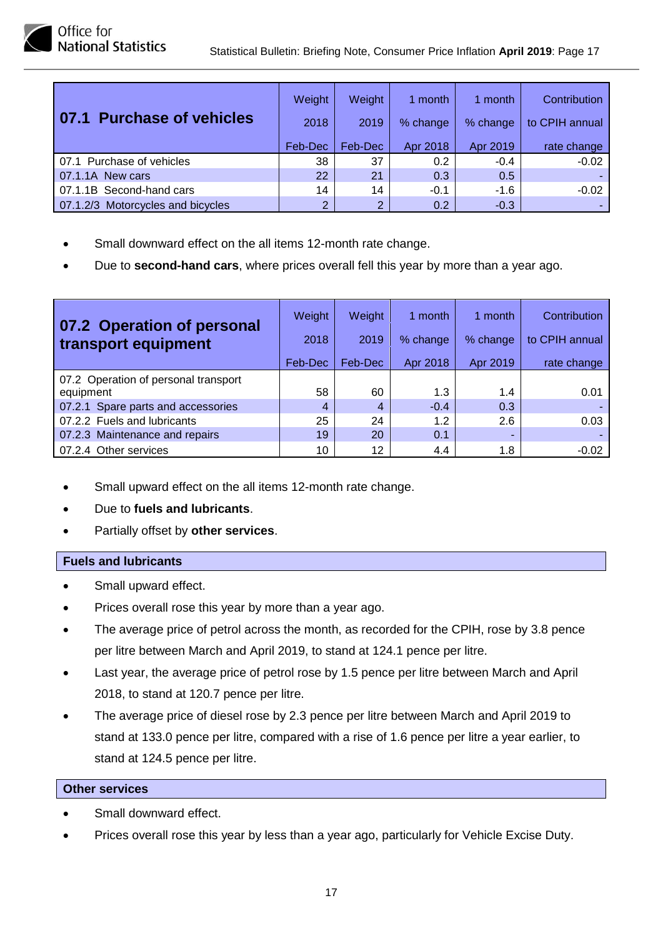| 07.1 Purchase of vehicles         | Weight<br>2018<br>Feb-Dec | Weight<br>2019<br>Feb-Dec | 1 month<br>% change<br>Apr 2018 | 1 month<br>% change<br>Apr 2019 | Contribution<br>to CPIH annual<br>rate change |
|-----------------------------------|---------------------------|---------------------------|---------------------------------|---------------------------------|-----------------------------------------------|
| 07.1 Purchase of vehicles         | 38                        | 37                        | 0.2                             | $-0.4$                          | $-0.02$                                       |
| 07.1.1A New cars                  | 22                        | 21                        | 0.3                             | 0.5                             |                                               |
| 07.1.1B Second-hand cars          | 14                        | 14                        | $-0.1$                          | $-1.6$                          | $-0.02$                                       |
| 07.1.2/3 Motorcycles and bicycles | $\overline{2}$            | 2                         | 0.2                             | $-0.3$                          |                                               |

- Small downward effect on the all items 12-month rate change.
- Due to **second-hand cars**, where prices overall fell this year by more than a year ago.

| 07.2 Operation of personal<br>transport equipment | Weight<br>2018 | Weight<br>2019 | 1 month<br>% change | 1 month<br>% change | Contribution<br>to CPIH annual |
|---------------------------------------------------|----------------|----------------|---------------------|---------------------|--------------------------------|
|                                                   | Feb-Dec        | Feb-Dec        | Apr 2018            | Apr 2019            | rate change                    |
| 07.2 Operation of personal transport              |                |                |                     |                     |                                |
| equipment                                         | 58             | 60             | 1.3                 | 1.4                 | 0.01                           |
| 07.2.1 Spare parts and accessories                | 4              | $\overline{4}$ | $-0.4$              | 0.3                 |                                |
| 07.2.2 Fuels and lubricants                       | 25             | 24             | 1.2                 | 2.6                 | 0.03                           |
| 07.2.3 Maintenance and repairs                    | 19             | 20             | 0.1                 |                     |                                |
| 07.2.4 Other services                             | 10             | 12             | 4.4                 | 1.8                 | $-0.02$                        |

- Small upward effect on the all items 12-month rate change.
- Due to **fuels and lubricants**.
- Partially offset by **other services**.

#### **Fuels and lubricants**

- Small upward effect.
- Prices overall rose this year by more than a year ago.
- The average price of petrol across the month, as recorded for the CPIH, rose by 3.8 pence per litre between March and April 2019, to stand at 124.1 pence per litre.
- Last year, the average price of petrol rose by 1.5 pence per litre between March and April 2018, to stand at 120.7 pence per litre.
- The average price of diesel rose by 2.3 pence per litre between March and April 2019 to stand at 133.0 pence per litre, compared with a rise of 1.6 pence per litre a year earlier, to stand at 124.5 pence per litre.

#### **Other services**

- Small downward effect.
- Prices overall rose this year by less than a year ago, particularly for Vehicle Excise Duty.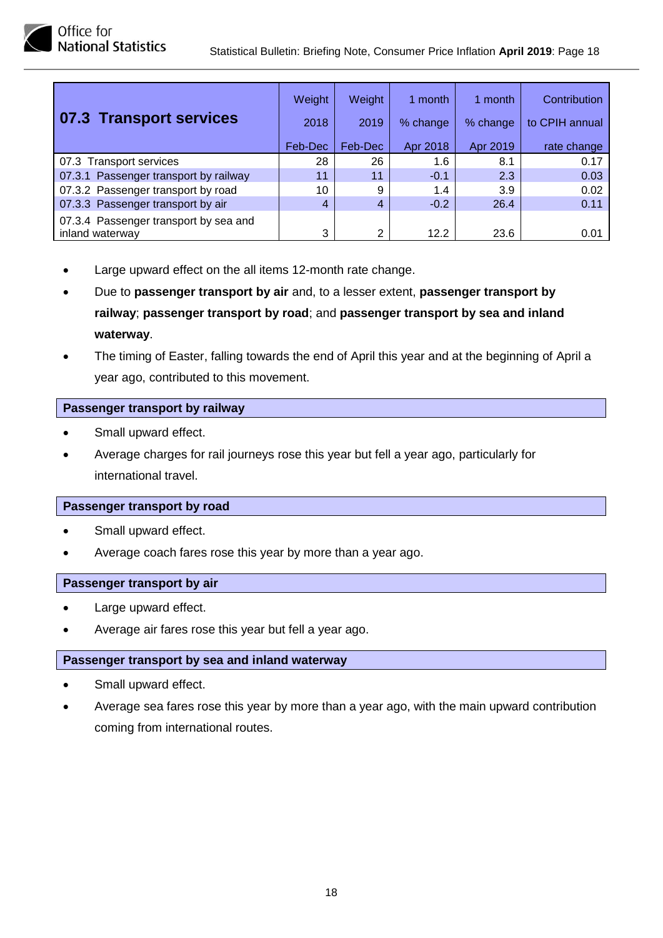

|                                       | Weight  | Weight         | 1 month  | 1 month  | Contribution   |
|---------------------------------------|---------|----------------|----------|----------|----------------|
| 07.3 Transport services               | 2018    | 2019           | % change | % change | to CPIH annual |
|                                       | Feb-Dec | Feb-Dec        | Apr 2018 | Apr 2019 | rate change    |
| 07.3 Transport services               | 28      | 26             | 1.6      | 8.1      | 0.17           |
| 07.3.1 Passenger transport by railway | 11      | 11             | $-0.1$   | 2.3      | 0.03           |
| 07.3.2 Passenger transport by road    | 10      | 9              | 1.4      | 3.9      | 0.02           |
| 07.3.3 Passenger transport by air     | 4       | $\overline{4}$ | $-0.2$   | 26.4     | 0.11           |
| 07.3.4 Passenger transport by sea and |         |                |          |          |                |
| inland waterway                       | 3       | 2              | 12.2     | 23.6     | 0.01           |

- Large upward effect on the all items 12-month rate change.
- Due to **passenger transport by air** and, to a lesser extent, **passenger transport by railway**; **passenger transport by road**; and **passenger transport by sea and inland waterway**.
- The timing of Easter, falling towards the end of April this year and at the beginning of April a year ago, contributed to this movement.

#### **Passenger transport by railway**

- Small upward effect.
- Average charges for rail journeys rose this year but fell a year ago, particularly for international travel.

#### **Passenger transport by road**

- Small upward effect.
- Average coach fares rose this year by more than a year ago.

#### **Passenger transport by air**

- Large upward effect.
- Average air fares rose this year but fell a year ago.

#### **Passenger transport by sea and inland waterway**

- Small upward effect.
- Average sea fares rose this year by more than a year ago, with the main upward contribution coming from international routes.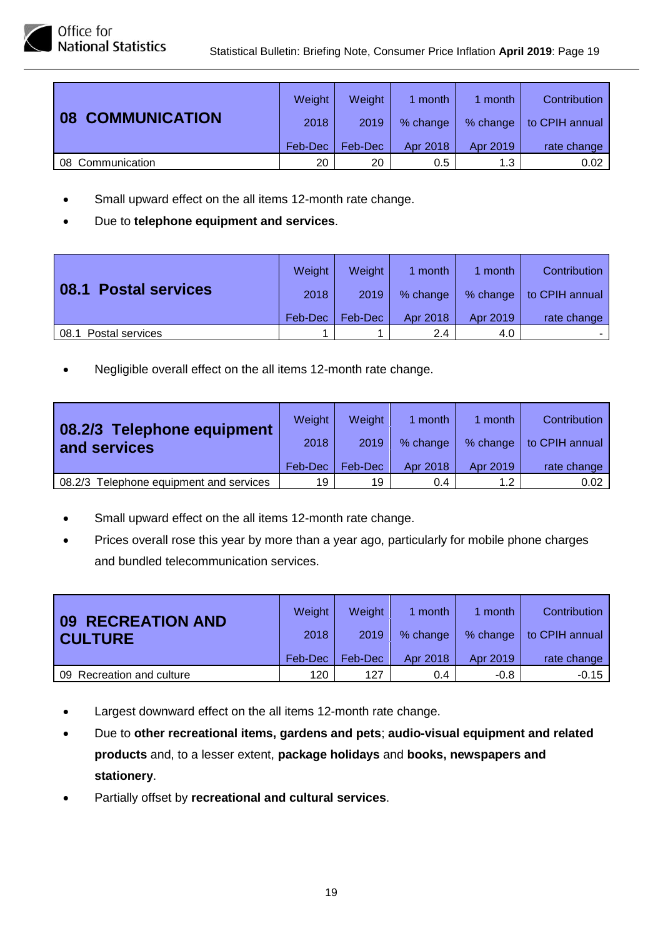|                              | Weight  | Weight  | 1 month  | 1 month  | Contribution   |
|------------------------------|---------|---------|----------|----------|----------------|
| <b>COMMUNICATION</b><br>  08 | 2018    | 2019    | % change | % change | to CPIH annual |
|                              | Feb-Dec | Feb-Dec | Apr 2018 | Apr 2019 | rate change    |
| 08 Communication             | 20      | 20      | 0.5      | 1.3      | 0.02           |

- Small upward effect on the all items 12-month rate change.
- Due to **telephone equipment and services**.

| 08.1 Postal services    | Weight  | Weight  | 1 month       | month    | Contribution   |
|-------------------------|---------|---------|---------------|----------|----------------|
|                         | 2018    | 2019    | % change      | % change | to CPIH annual |
|                         | Feb-Dec | Feb-Dec | Apr 2018      | Apr 2019 | rate change    |
| 08.1<br>Postal services |         |         | $2.4^{\circ}$ | 4.0      |                |

| 08.2/3 Telephone equipment<br>and services | Weight<br>2018<br>Feb-Dec | <b>Weight</b><br>2019<br>Feb-Dec | 1 month<br>% change<br>Apr 2018 | 1 month<br>% change<br>Apr 2019 | Contribution<br>to CPIH annual<br>rate change |
|--------------------------------------------|---------------------------|----------------------------------|---------------------------------|---------------------------------|-----------------------------------------------|
| Telephone equipment and services<br>08.2/3 | 19                        | 19                               | 0.4                             | 1.2                             | 0.02                                          |

- Small upward effect on the all items 12-month rate change.
- Prices overall rose this year by more than a year ago, particularly for mobile phone charges and bundled telecommunication services.

| <b>09 RECREATION AND</b><br><b>CULTURE</b> | Weight  | <b>Weight</b> | 1 month       | 1 month  | Contribution   |
|--------------------------------------------|---------|---------------|---------------|----------|----------------|
|                                            | 2018    | 2019          | % change      | % change | to CPIH annual |
|                                            | Feb-Dec | Feb-Dec       | Apr 2018      | Apr 2019 | rate change    |
| Recreation and culture<br>09.              | 120     | 127           | $0.4^{\circ}$ | $-0.8$   | $-0.15$        |

- Largest downward effect on the all items 12-month rate change.
- Due to **other recreational items, gardens and pets**; **audio-visual equipment and related products** and, to a lesser extent, **package holidays** and **books, newspapers and stationery**.
- Partially offset by **recreational and cultural services**.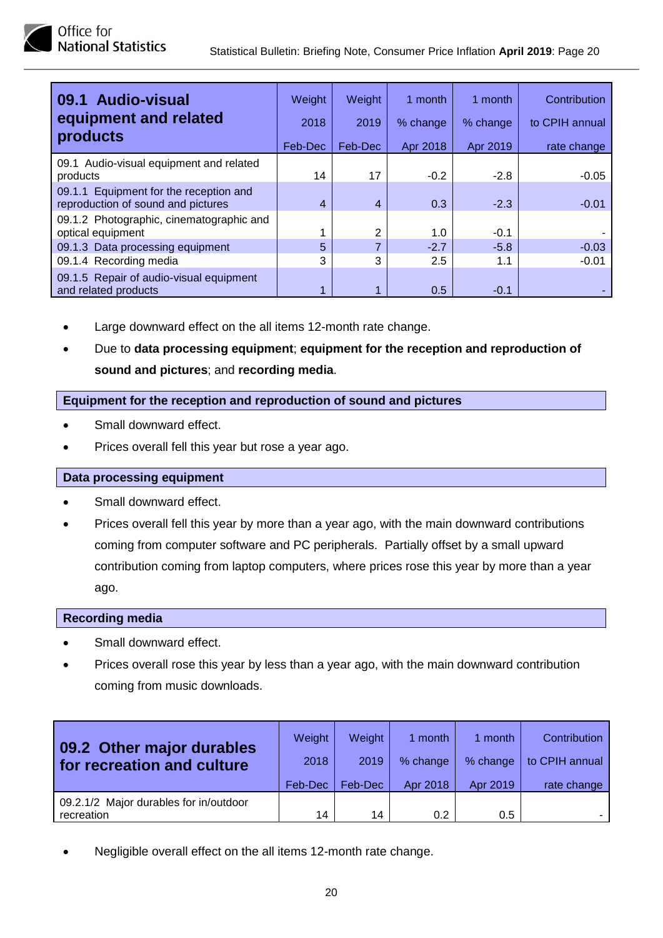| 09.1 Audio-visual<br>equipment and related<br>products                       | Weight<br>2018<br>Feb-Dec | Weight<br>2019<br>Feb-Dec | 1 month<br>% change<br>Apr 2018 | 1 month<br>% change<br>Apr 2019 | Contribution<br>to CPIH annual<br>rate change |
|------------------------------------------------------------------------------|---------------------------|---------------------------|---------------------------------|---------------------------------|-----------------------------------------------|
| 09.1 Audio-visual equipment and related<br>products                          | 14                        | 17                        | $-0.2$                          | $-2.8$                          | $-0.05$                                       |
| 09.1.1 Equipment for the reception and<br>reproduction of sound and pictures | 4                         | 4                         | 0.3                             | $-2.3$                          | $-0.01$                                       |
| 09.1.2 Photographic, cinematographic and<br>optical equipment                | 4                         | っ                         | 1.0                             | $-0.1$                          |                                               |
| 09.1.3 Data processing equipment                                             | 5                         |                           | $-2.7$                          | $-5.8$                          | $-0.03$                                       |
| 09.1.4 Recording media                                                       | 3                         | 3                         | 2.5                             | 1.1                             | $-0.01$                                       |
| 09.1.5 Repair of audio-visual equipment<br>and related products              |                           |                           | 0.5                             | $-0.1$                          |                                               |

- Large downward effect on the all items 12-month rate change.
- Due to **data processing equipment**; **equipment for the reception and reproduction of sound and pictures**; and **recording media**.

#### **Equipment for the reception and reproduction of sound and pictures**

- Small downward effect.
- Prices overall fell this year but rose a year ago.

#### **Data processing equipment**

- Small downward effect.
- Prices overall fell this year by more than a year ago, with the main downward contributions coming from computer software and PC peripherals. Partially offset by a small upward contribution coming from laptop computers, where prices rose this year by more than a year ago.

#### **Recording media**

- Small downward effect.
- Prices overall rose this year by less than a year ago, with the main downward contribution coming from music downloads.

| 09.2 Other major durables<br>for recreation and culture | Weight<br>2018 | Weight<br>2019 | 1 month<br>% change | 1 month<br>% change | Contribution<br>to CPIH annual |
|---------------------------------------------------------|----------------|----------------|---------------------|---------------------|--------------------------------|
|                                                         | Feb-Dec        | Feb-Dec        | Apr 2018            | Apr 2019            | rate change                    |
| 09.2.1/2 Major durables for in/outdoor<br>recreation    | 14             | 14             | 0.2                 | 0.5                 |                                |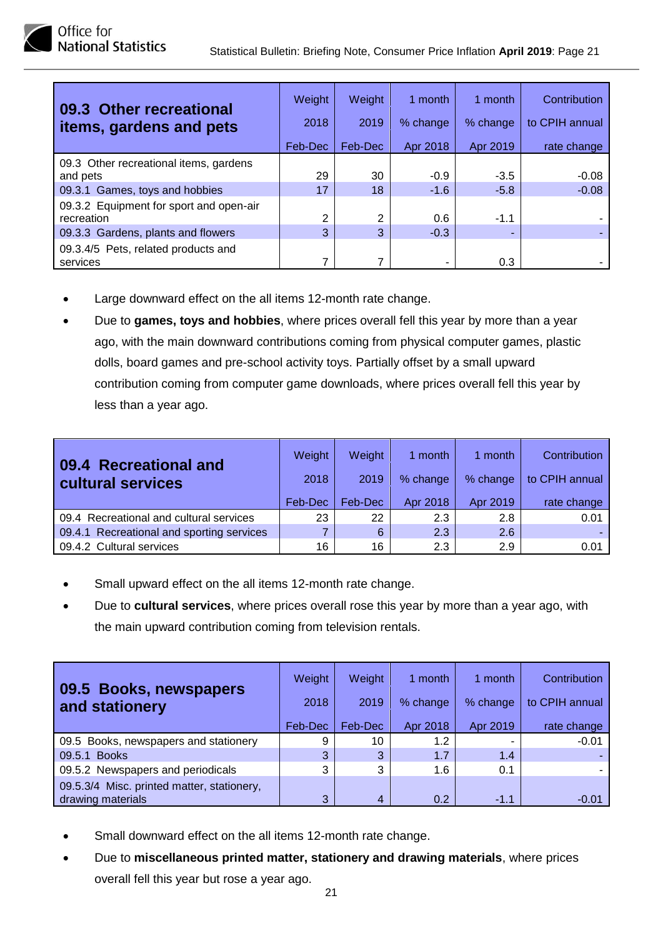| 09.3 Other recreational<br>items, gardens and pets | Weight<br>2018<br>Feb-Dec | Weight<br>2019<br>Feb-Dec | 1 month<br>% change<br>Apr 2018 | 1 month<br>% change<br>Apr 2019 | Contribution<br>to CPIH annual<br>rate change |
|----------------------------------------------------|---------------------------|---------------------------|---------------------------------|---------------------------------|-----------------------------------------------|
| 09.3 Other recreational items, gardens<br>and pets | 29                        | 30                        | $-0.9$                          | $-3.5$                          | $-0.08$                                       |
| 09.3.1 Games, toys and hobbies                     | 17                        | 18                        | $-1.6$                          | $-5.8$                          | $-0.08$                                       |
| 09.3.2 Equipment for sport and open-air            |                           |                           |                                 |                                 |                                               |
| recreation                                         | 2                         | 2                         | 0.6                             | $-1.1$                          |                                               |
| 09.3.3 Gardens, plants and flowers                 | 3                         | 3                         | $-0.3$                          |                                 |                                               |
| 09.3.4/5 Pets, related products and<br>services    | 7                         |                           |                                 | 0.3                             |                                               |

- Large downward effect on the all items 12-month rate change.
- Due to **games, toys and hobbies**, where prices overall fell this year by more than a year ago, with the main downward contributions coming from physical computer games, plastic dolls, board games and pre-school activity toys. Partially offset by a small upward contribution coming from computer game downloads, where prices overall fell this year by less than a year ago.

| 09.4 Recreational and<br>cultural services | Weight<br>2018 | Weight<br>2019 | 1 month<br>% change | 1 month<br>% change | Contribution<br>to CPIH annual |
|--------------------------------------------|----------------|----------------|---------------------|---------------------|--------------------------------|
|                                            | Feb-Dec        | Feb-Dec        | Apr 2018            | Apr 2019            | rate change                    |
| 09.4 Recreational and cultural services    | 23             | 22             | 2.3                 | 2.8                 | 0.01                           |
| 09.4.1 Recreational and sporting services  | 7              | 6              | 2.3                 | 2.6                 |                                |
| 09.4.2 Cultural services                   | 16             | 16             | 2.3                 | 2.9                 | 0.01                           |

- Small upward effect on the all items 12-month rate change.
- Due to **cultural services**, where prices overall rose this year by more than a year ago, with the main upward contribution coming from television rentals.

| 09.5 Books, newspapers<br>and stationery                        | Weight<br>2018<br>Feb-Dec | Weight<br>2019<br>Feb-Dec | 1 month<br>% change<br>Apr 2018 | 1 month<br>% change<br>Apr 2019 | Contribution<br>to CPIH annual<br>rate change |
|-----------------------------------------------------------------|---------------------------|---------------------------|---------------------------------|---------------------------------|-----------------------------------------------|
| 09.5 Books, newspapers and stationery                           | 9                         | 10                        | 1.2                             |                                 | $-0.01$                                       |
| 09.5.1 Books                                                    | 3                         | 3                         | 1.7                             | 1.4                             |                                               |
| 09.5.2 Newspapers and periodicals                               | 3                         | 3                         | 1.6                             | 0.1                             |                                               |
| 09.5.3/4 Misc. printed matter, stationery,<br>drawing materials | 3                         | $\overline{4}$            | 0.2                             | $-1.1$                          | $-0.01$                                       |

- Small downward effect on the all items 12-month rate change.
- Due to **miscellaneous printed matter, stationery and drawing materials**, where prices overall fell this year but rose a year ago.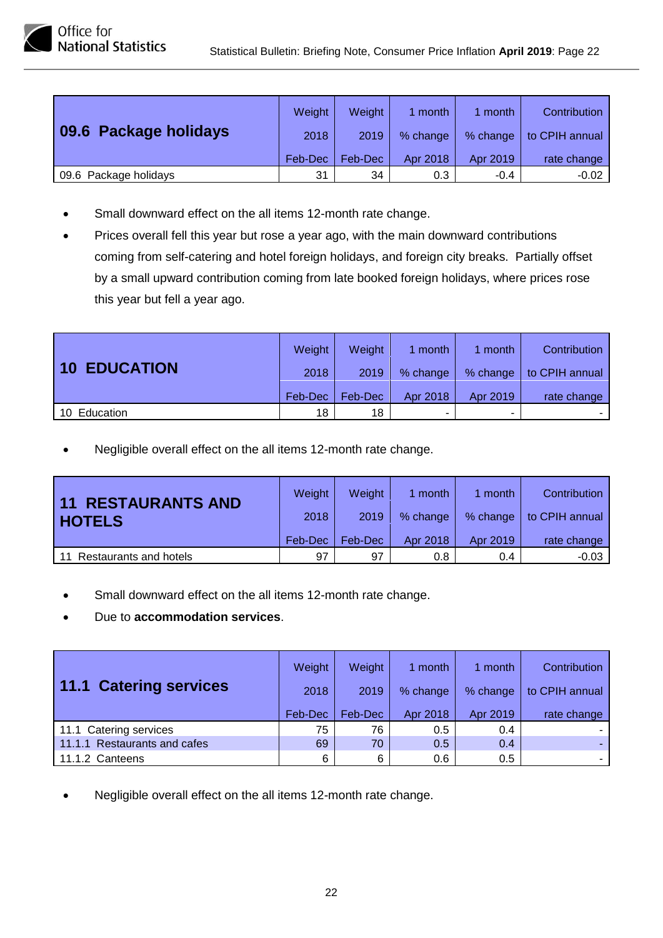

| טווונכ וטו                 |  |
|----------------------------|--|
| <b>National Statistics</b> |  |

| 09.6 Package holidays | Weight  | Weight  | 1 month  | 1 month  | Contribution   |
|-----------------------|---------|---------|----------|----------|----------------|
|                       | 2018    | 2019    | % change | % change | to CPIH annual |
|                       | Feb-Dec | Feb-Dec | Apr 2018 | Apr 2019 | rate change    |
| 09.6 Package holidays | 31      | 34      | 0.3      | $-0.4$   | $-0.02$        |

- Small downward effect on the all items 12-month rate change.
- Prices overall fell this year but rose a year ago, with the main downward contributions coming from self-catering and hotel foreign holidays, and foreign city breaks. Partially offset by a small upward contribution coming from late booked foreign holidays, where prices rose this year but fell a year ago.

| <b>10 EDUCATION</b> | Weight  | <b>Weight</b> | 1 month  | month                    | Contribution   |
|---------------------|---------|---------------|----------|--------------------------|----------------|
|                     | 2018    | 2019          | % change | % change                 | to CPIH annual |
|                     | Feb-Dec | Feb-Dec       | Apr 2018 | Apr 2019                 | rate change    |
| 10 Education        | 18      | 18            |          | $\overline{\phantom{a}}$ |                |

| 11 RESTAURANTS AND<br><b>HOTELS</b> | Weight  | Weight  | 1 month  | 1 month  | Contribution   |
|-------------------------------------|---------|---------|----------|----------|----------------|
|                                     | 2018    | 2019    | % change | % change | to CPIH annual |
|                                     | Feb-Dec | Feb-Dec | Apr 2018 | Apr 2019 | rate change    |
| Restaurants and hotels<br>11        | 97      | 97      | 0.8      | 0.4      | $-0.03$        |

- Small downward effect on the all items 12-month rate change.
- Due to **accommodation services**.

| 11.1 Catering services       | Weight<br>2018<br>Feb-Dec | Weight<br>2019<br>Feb-Dec | 1 month<br>% change<br>Apr 2018 | 1 month<br>% change<br>Apr 2019 | Contribution<br>to CPIH annual<br>rate change |
|------------------------------|---------------------------|---------------------------|---------------------------------|---------------------------------|-----------------------------------------------|
| 11.1 Catering services       | 75                        | 76                        | 0.5                             | 0.4                             |                                               |
| 11.1.1 Restaurants and cafes | 69                        | 70                        | 0.5                             | 0.4                             |                                               |
| 11.1.2 Canteens              | 6                         | 6                         | 0.6                             | 0.5                             |                                               |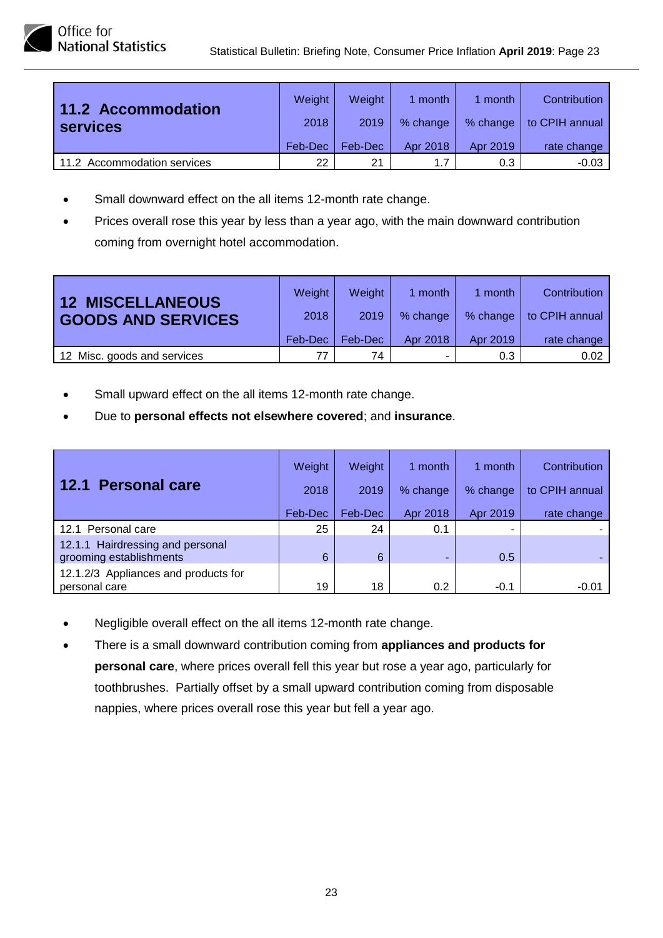Office for **National Statistics** 

| 11.2 Accommodation<br><b>services</b> | Weight  | Weight  | 1 month  | 1 month  | Contribution   |
|---------------------------------------|---------|---------|----------|----------|----------------|
|                                       | 2018    | 2019    | % change | % change | to CPIH annual |
|                                       | Feb-Dec | Feb-Dec | Apr 2018 | Apr 2019 | rate change    |
| 11.2 Accommodation services           | 22      | 21      | 1.7      | 0.3      | $-0.03$        |

- Small downward effect on the all items 12-month rate change.
- Prices overall rose this year by less than a year ago, with the main downward contribution coming from overnight hotel accommodation.

| <b>12 MISCELLANEOUS</b><br><b>GOODS AND SERVICES</b> | Weight<br>2018<br>Feb-Dec | Weight<br>2019<br>Feb-Dec | 1 month<br>% change<br>Apr 2018 | 1 month<br>% change<br>Apr 2019 | Contribution<br>to CPIH annual<br>rate change |
|------------------------------------------------------|---------------------------|---------------------------|---------------------------------|---------------------------------|-----------------------------------------------|
| 12 Misc. goods and services                          | 77                        | 74                        |                                 | 0.3                             | 0.02                                          |

- Small upward effect on the all items 12-month rate change.
- Due to **personal effects not elsewhere covered**; and **insurance**.

| 12.1 Personal care                                          | Weight<br>2018 | Weight<br>2019 | 1 month<br>% change | 1 month<br>% change | Contribution<br>to CPIH annual |
|-------------------------------------------------------------|----------------|----------------|---------------------|---------------------|--------------------------------|
|                                                             | Feb-Dec        | Feb-Dec        | Apr 2018            | Apr 2019            | rate change                    |
| 12.1 Personal care                                          | 25             | 24             | 0.1                 |                     |                                |
| 12.1.1 Hairdressing and personal<br>grooming establishments | 6              | 6              | -                   | 0.5                 |                                |
| 12.1.2/3 Appliances and products for<br>personal care       | 19             | 18             | 0.2                 | $-0.1$              | $-0.01$                        |

- Negligible overall effect on the all items 12-month rate change.
- There is a small downward contribution coming from **appliances and products for personal care**, where prices overall fell this year but rose a year ago, particularly for toothbrushes. Partially offset by a small upward contribution coming from disposable nappies, where prices overall rose this year but fell a year ago.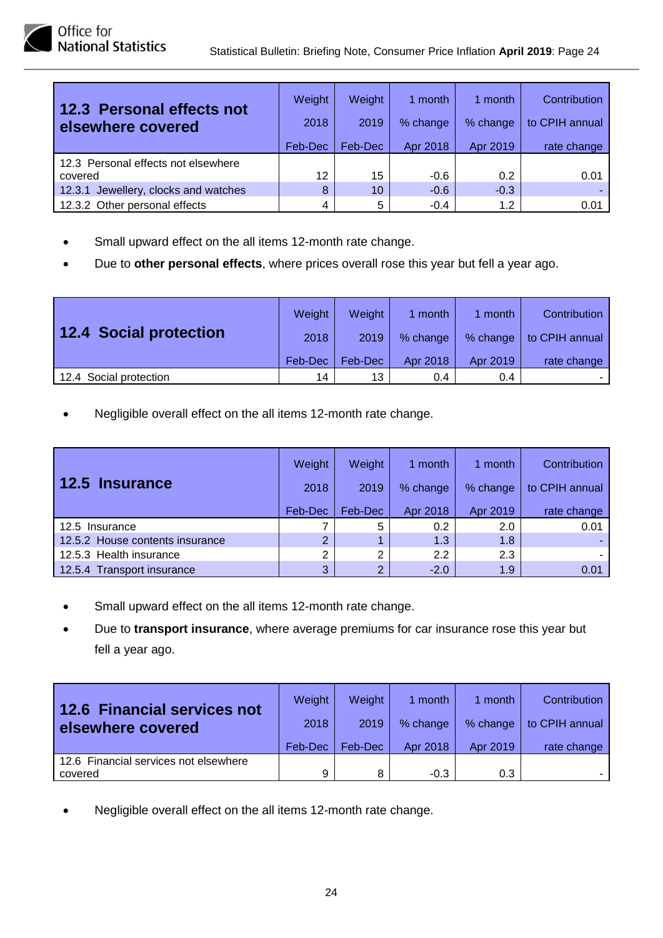| 12.3 Personal effects not<br>elsewhere covered | Weight<br>2018 | Weight<br>2019 | 1 month<br>% change | 1 month<br>% change | Contribution<br>to CPIH annual |
|------------------------------------------------|----------------|----------------|---------------------|---------------------|--------------------------------|
|                                                | Feb-Dec        | Feb-Dec        | Apr 2018            | Apr 2019            | rate change                    |
| 12.3 Personal effects not elsewhere            |                |                |                     |                     |                                |
| covered                                        | 12             | 15             | $-0.6$              | 0.2                 | 0.01                           |
| 12.3.1 Jewellery, clocks and watches           | 8              | 10             | $-0.6$              | $-0.3$              |                                |
| 12.3.2 Other personal effects                  | 4              | 5              | $-0.4$              | 1.2                 | 0.01                           |

- Small upward effect on the all items 12-month rate change.
- Due to **other personal effects**, where prices overall rose this year but fell a year ago.

| <b>12.4 Social protection</b> | Weight  | <b>Weight</b> | 1 month  | month    | Contribution   |
|-------------------------------|---------|---------------|----------|----------|----------------|
|                               | 2018    | 2019          | % change | % change | to CPIH annual |
|                               | Feb-Dec | Feb-Dec       | Apr 2018 | Apr 2019 | rate change    |
| 12.4 Social protection        | 14      | 13            | 0.4      | 0.4      |                |

| <b>12.5 Insurance</b>           | Weight<br>2018 | Weight<br>2019 | 1 month<br>% change | 1 month<br>% change | <b>Contribution</b><br>to CPIH annual |
|---------------------------------|----------------|----------------|---------------------|---------------------|---------------------------------------|
|                                 | Feb-Dec        | Feb-Dec        | Apr 2018            | Apr 2019            | rate change                           |
| 12.5 Insurance                  |                | 5              | 0.2                 | 2.0                 | 0.01                                  |
| 12.5.2 House contents insurance | 2              |                | 1.3                 | 1.8                 |                                       |
| 12.5.3 Health insurance         | 2              | 2              | 2.2                 | 2.3                 |                                       |
| 12.5.4 Transport insurance      | 3              | 2              | $-2.0$              | 1.9                 | 0.01                                  |

- Small upward effect on the all items 12-month rate change.
- Due to **transport insurance**, where average premiums for car insurance rose this year but fell a year ago.

| <b>12.6 Financial services not</b><br>elsewhere covered | Weight  | <b>Weight</b> | 1 month  | 1 month  | Contribution   |
|---------------------------------------------------------|---------|---------------|----------|----------|----------------|
|                                                         | 2018    | 2019          | % change | % change | to CPIH annual |
|                                                         | Feb-Dec | Feb-Dec       | Apr 2018 | Apr 2019 | rate change    |
| 12.6 Financial services not elsewhere                   |         |               |          |          |                |
| covered                                                 | 9       | 8             | $-0.3$   | 0.3      |                |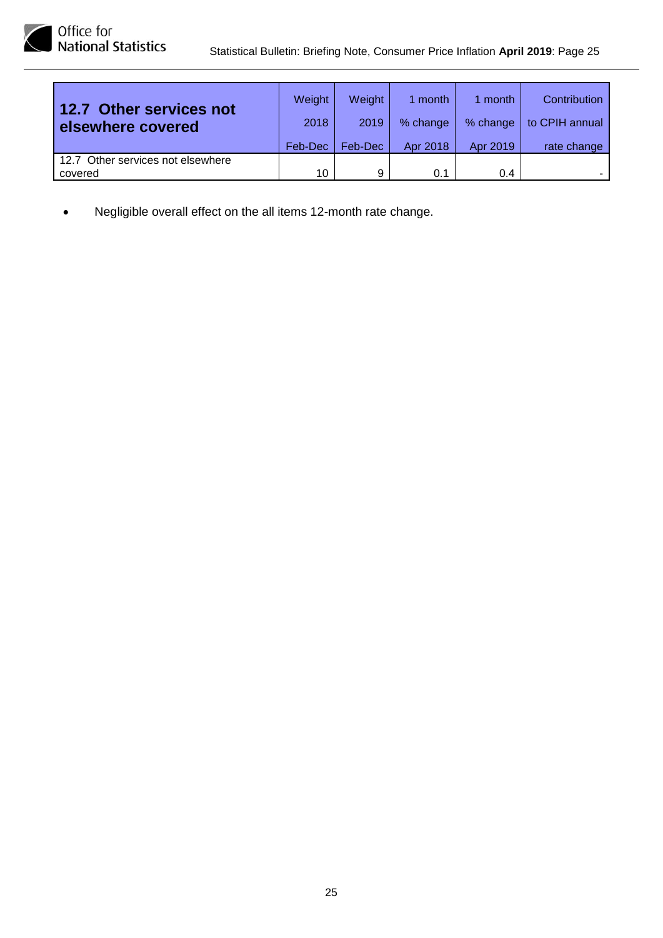| 12.7 Other services not<br>elsewhere covered | Weight  | Weight  | 1 month  | 1 month  | Contribution   |
|----------------------------------------------|---------|---------|----------|----------|----------------|
|                                              | 2018    | 2019    | % change | % change | to CPIH annual |
|                                              | Feb-Dec | Feb-Dec | Apr 2018 | Apr 2019 | rate change    |
| 12.7 Other services not elsewhere            |         |         |          |          |                |
| covered                                      | 10      | 9       | 0.1      | 0.4      |                |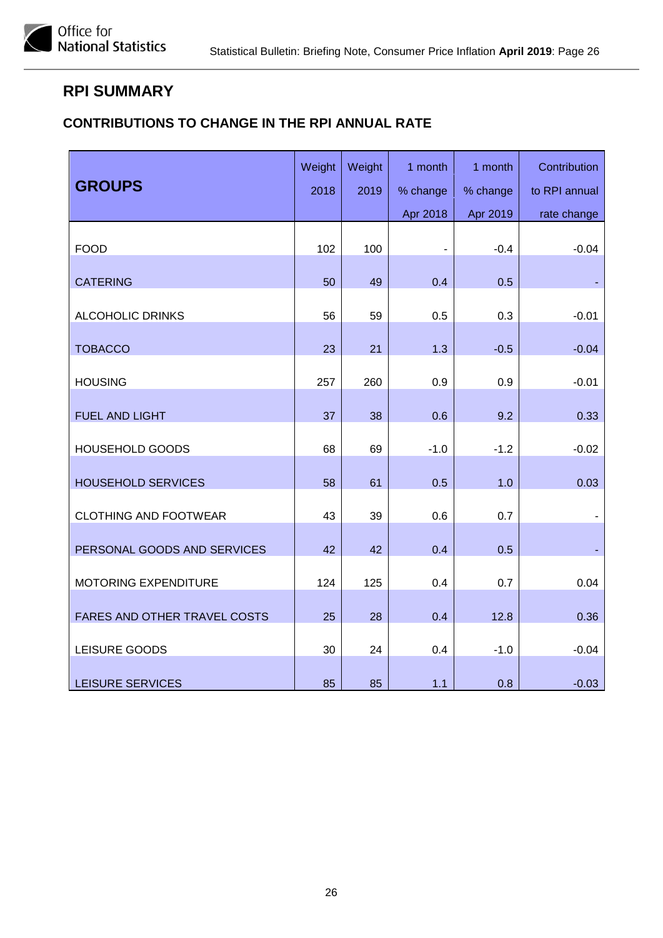### <span id="page-25-0"></span>**RPI SUMMARY**

#### **CONTRIBUTIONS TO CHANGE IN THE RPI ANNUAL RATE**

| <b>GROUPS</b>                | Weight | Weight | 1 month                  | 1 month  | Contribution  |
|------------------------------|--------|--------|--------------------------|----------|---------------|
|                              | 2018   | 2019   | % change                 | % change | to RPI annual |
|                              |        |        | Apr 2018                 | Apr 2019 | rate change   |
| <b>FOOD</b>                  | 102    | 100    | $\overline{\phantom{a}}$ | $-0.4$   | $-0.04$       |
| <b>CATERING</b>              | 50     | 49     | 0.4                      | 0.5      |               |
| <b>ALCOHOLIC DRINKS</b>      | 56     | 59     | 0.5                      | 0.3      | $-0.01$       |
| <b>TOBACCO</b>               | 23     | 21     | 1.3                      | $-0.5$   | $-0.04$       |
| <b>HOUSING</b>               | 257    | 260    | 0.9                      | 0.9      | $-0.01$       |
| <b>FUEL AND LIGHT</b>        | 37     | 38     | 0.6                      | 9.2      | 0.33          |
| <b>HOUSEHOLD GOODS</b>       | 68     | 69     | $-1.0$                   | $-1.2$   | $-0.02$       |
| <b>HOUSEHOLD SERVICES</b>    | 58     | 61     | 0.5                      | 1.0      | 0.03          |
| <b>CLOTHING AND FOOTWEAR</b> | 43     | 39     | 0.6                      | 0.7      |               |
| PERSONAL GOODS AND SERVICES  | 42     | 42     | 0.4                      | 0.5      |               |
| MOTORING EXPENDITURE         | 124    | 125    | 0.4                      | 0.7      | 0.04          |
| FARES AND OTHER TRAVEL COSTS | 25     | 28     | 0.4                      | 12.8     | 0.36          |
| LEISURE GOODS                | 30     | 24     | 0.4                      | $-1.0$   | $-0.04$       |
| LEISURE SERVICES             | 85     | 85     | 1.1                      | 0.8      | $-0.03$       |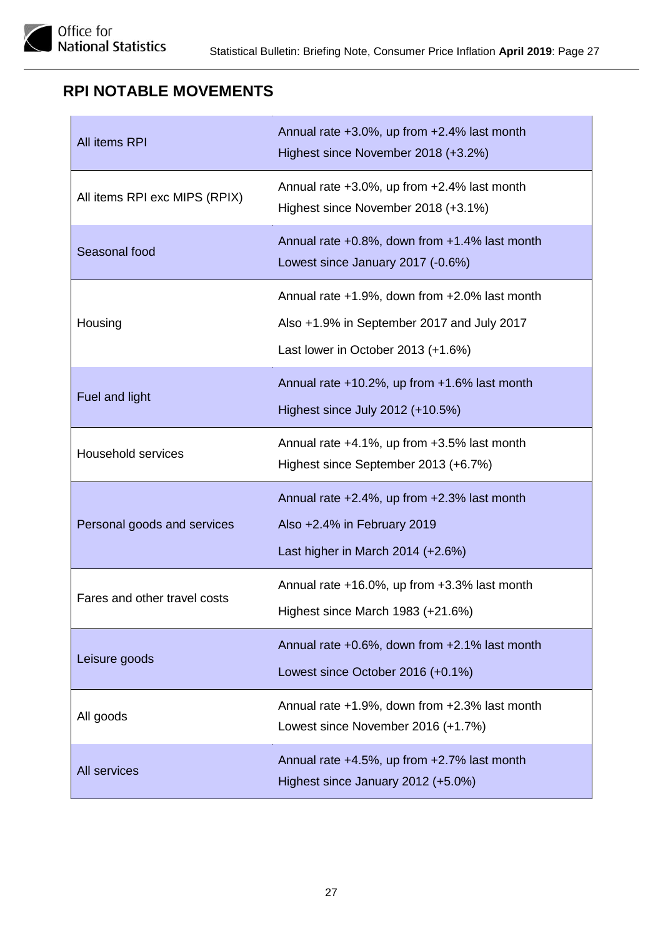# <span id="page-26-0"></span>**RPI NOTABLE MOVEMENTS**

| All items RPI                 | Annual rate +3.0%, up from +2.4% last month<br>Highest since November 2018 (+3.2%)                                                |
|-------------------------------|-----------------------------------------------------------------------------------------------------------------------------------|
| All items RPI exc MIPS (RPIX) | Annual rate +3.0%, up from +2.4% last month<br>Highest since November 2018 (+3.1%)                                                |
| Seasonal food                 | Annual rate $+0.8\%$ , down from $+1.4\%$ last month<br>Lowest since January 2017 (-0.6%)                                         |
| Housing                       | Annual rate +1.9%, down from +2.0% last month<br>Also +1.9% in September 2017 and July 2017<br>Last lower in October 2013 (+1.6%) |
| Fuel and light                | Annual rate $+10.2\%$ , up from $+1.6\%$ last month<br>Highest since July 2012 (+10.5%)                                           |
| <b>Household services</b>     | Annual rate +4.1%, up from +3.5% last month<br>Highest since September 2013 (+6.7%)                                               |
| Personal goods and services   | Annual rate +2.4%, up from +2.3% last month<br>Also +2.4% in February 2019<br>Last higher in March 2014 (+2.6%)                   |
| Fares and other travel costs  | Annual rate +16.0%, up from +3.3% last month<br>Highest since March 1983 (+21.6%)                                                 |
| Leisure goods                 | Annual rate +0.6%, down from +2.1% last month<br>Lowest since October 2016 (+0.1%)                                                |
| All goods                     | Annual rate +1.9%, down from +2.3% last month<br>Lowest since November 2016 (+1.7%)                                               |
| All services                  | Annual rate +4.5%, up from +2.7% last month<br>Highest since January 2012 (+5.0%)                                                 |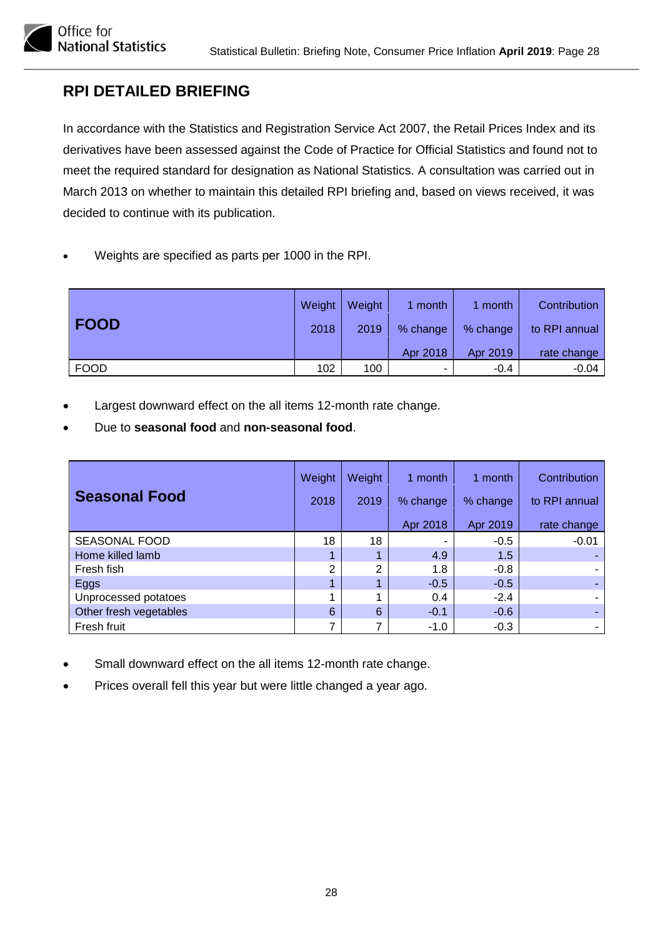# <span id="page-27-0"></span>**RPI DETAILED BRIEFING**

Office for<br>National Statistics

In accordance with the Statistics and Registration Service Act 2007, the Retail Prices Index and its derivatives have been assessed against the Code of Practice for Official Statistics and found not to meet the required standard for designation as National Statistics. A consultation was carried out in March 2013 on whether to maintain this detailed RPI briefing and, based on views received, it was decided to continue with its publication.

• Weights are specified as parts per 1000 in the RPI.

|             | Weight | Weight | l month  | 1 month  | Contribution  |
|-------------|--------|--------|----------|----------|---------------|
| <b>FOOD</b> | 2018   | 2019   | % change | % change | to RPI annual |
|             |        |        | Apr 2018 | Apr 2019 | rate change   |
| <b>FOOD</b> | 102    | 100    | ۰        | $-0.4$   | $-0.04$       |

- Largest downward effect on the all items 12-month rate change.
- Due to **seasonal food** and **non-seasonal food**.

| <b>Seasonal Food</b>   | Weight<br>2018 | Weight<br>2019 | 1 month<br>% change | 1 month<br>% change | Contribution<br>to RPI annual |
|------------------------|----------------|----------------|---------------------|---------------------|-------------------------------|
|                        |                |                | Apr 2018            | Apr 2019            | rate change                   |
| <b>SEASONAL FOOD</b>   | 18             | 18             | -                   | $-0.5$              | $-0.01$                       |
| Home killed lamb       |                |                | 4.9                 | 1.5                 |                               |
| Fresh fish             | 2              | ົ              | 1.8                 | $-0.8$              |                               |
| Eggs                   |                |                | $-0.5$              | $-0.5$              |                               |
| Unprocessed potatoes   |                |                | 0.4                 | $-2.4$              |                               |
| Other fresh vegetables | 6              | 6              | $-0.1$              | $-0.6$              |                               |
| Fresh fruit            |                |                | $-1.0$              | $-0.3$              |                               |

- Small downward effect on the all items 12-month rate change.
- Prices overall fell this year but were little changed a year ago.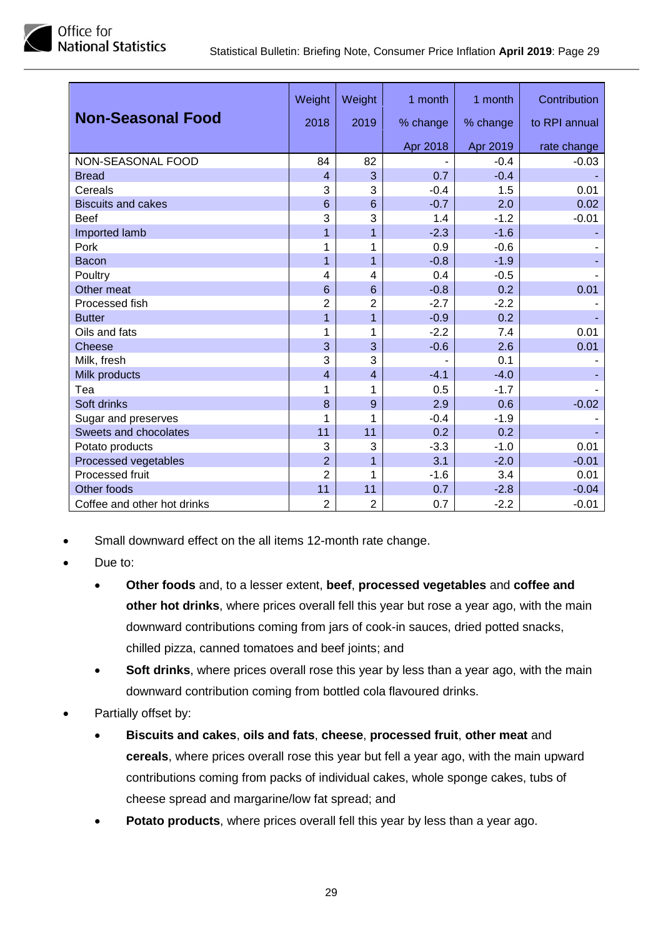

|                             | Weight          | Weight          | 1 month  | 1 month  | Contribution  |
|-----------------------------|-----------------|-----------------|----------|----------|---------------|
| <b>Non-Seasonal Food</b>    | 2018            | 2019            | % change | % change | to RPI annual |
|                             |                 |                 | Apr 2018 | Apr 2019 | rate change   |
| NON-SEASONAL FOOD           | 84              | 82              |          | $-0.4$   | $-0.03$       |
| <b>Bread</b>                | $\overline{4}$  | 3               | 0.7      | $-0.4$   |               |
| Cereals                     | 3               | 3               | $-0.4$   | 1.5      | 0.01          |
| <b>Biscuits and cakes</b>   | $6\phantom{1}6$ | $6\phantom{1}6$ | $-0.7$   | 2.0      | 0.02          |
| <b>Beef</b>                 | 3               | 3               | 1.4      | $-1.2$   | $-0.01$       |
| Imported lamb               | 1               | $\overline{1}$  | $-2.3$   | $-1.6$   |               |
| Pork                        | 1               | 1               | 0.9      | $-0.6$   |               |
| Bacon                       | 1               | $\overline{1}$  | $-0.8$   | $-1.9$   |               |
| Poultry                     | 4               | 4               | 0.4      | $-0.5$   |               |
| Other meat                  | $6\phantom{1}6$ | $6\phantom{1}6$ | $-0.8$   | 0.2      | 0.01          |
| Processed fish              | $\overline{2}$  | $\overline{2}$  | $-2.7$   | $-2.2$   |               |
| <b>Butter</b>               | 1               | $\overline{1}$  | $-0.9$   | 0.2      |               |
| Oils and fats               | 1               | 1               | $-2.2$   | 7.4      | 0.01          |
| <b>Cheese</b>               | 3               | 3               | $-0.6$   | 2.6      | 0.01          |
| Milk, fresh                 | 3               | 3               |          | 0.1      |               |
| Milk products               | $\overline{4}$  | $\overline{4}$  | $-4.1$   | $-4.0$   |               |
| Tea                         | 1               | 1               | 0.5      | $-1.7$   |               |
| Soft drinks                 | 8               | 9               | 2.9      | 0.6      | $-0.02$       |
| Sugar and preserves         | 1               | 1               | $-0.4$   | $-1.9$   |               |
| Sweets and chocolates       | 11              | 11              | 0.2      | 0.2      |               |
| Potato products             | 3               | 3               | $-3.3$   | $-1.0$   | 0.01          |
| Processed vegetables        | $\overline{2}$  | $\overline{1}$  | 3.1      | $-2.0$   | $-0.01$       |
| Processed fruit             | $\overline{2}$  | 1               | $-1.6$   | 3.4      | 0.01          |
| Other foods                 | 11              | 11              | 0.7      | $-2.8$   | $-0.04$       |
| Coffee and other hot drinks | $\overline{2}$  | $\overline{2}$  | 0.7      | $-2.2$   | $-0.01$       |

- Small downward effect on the all items 12-month rate change.
- Due to:
	- **Other foods** and, to a lesser extent, **beef**, **processed vegetables** and **coffee and other hot drinks**, where prices overall fell this year but rose a year ago, with the main downward contributions coming from jars of cook-in sauces, dried potted snacks, chilled pizza, canned tomatoes and beef joints; and
	- **Soft drinks**, where prices overall rose this year by less than a year ago, with the main downward contribution coming from bottled cola flavoured drinks.
- Partially offset by:
	- **Biscuits and cakes**, **oils and fats**, **cheese**, **processed fruit**, **other meat** and **cereals**, where prices overall rose this year but fell a year ago, with the main upward contributions coming from packs of individual cakes, whole sponge cakes, tubs of cheese spread and margarine/low fat spread; and
	- **Potato products**, where prices overall fell this year by less than a year ago.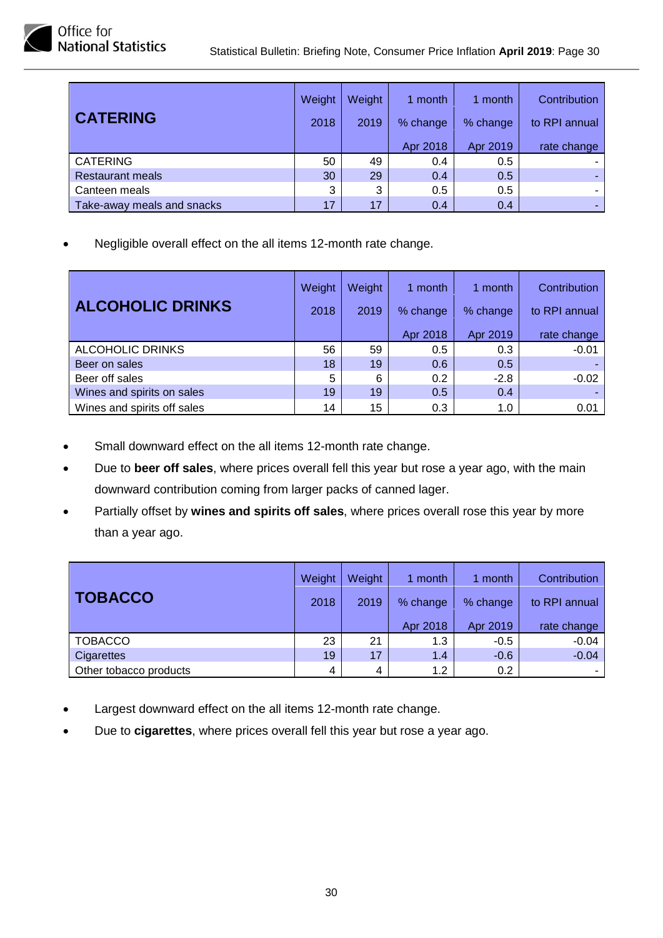

|                            | Weight | Weight | 1 month  | 1 month  | Contribution  |
|----------------------------|--------|--------|----------|----------|---------------|
| <b>CATERING</b>            | 2018   | 2019   | % change | % change | to RPI annual |
|                            |        |        | Apr 2018 | Apr 2019 | rate change   |
| <b>CATERING</b>            | 50     | 49     | 0.4      | 0.5      |               |
| <b>Restaurant meals</b>    | 30     | 29     | 0.4      | 0.5      |               |
| Canteen meals              | 3      | 3      | 0.5      | 0.5      |               |
| Take-away meals and snacks | 17     | 17     | 0.4      | 0.4      |               |

Office for<br>National Statistics

|                             | Weight | Weight | month    | 1 month  | Contribution  |
|-----------------------------|--------|--------|----------|----------|---------------|
| <b>ALCOHOLIC DRINKS</b>     | 2018   | 2019   | % change | % change | to RPI annual |
|                             |        |        | Apr 2018 | Apr 2019 | rate change   |
| <b>ALCOHOLIC DRINKS</b>     | 56     | 59     | 0.5      | 0.3      | $-0.01$       |
| Beer on sales               | 18     | 19     | 0.6      | 0.5      |               |
| Beer off sales              | 5      | 6      | 0.2      | $-2.8$   | $-0.02$       |
| Wines and spirits on sales  | 19     | 19     | 0.5      | 0.4      |               |
| Wines and spirits off sales | 14     | 15     | 0.3      | 1.0      | 0.01          |

- Small downward effect on the all items 12-month rate change.
- Due to **beer off sales**, where prices overall fell this year but rose a year ago, with the main downward contribution coming from larger packs of canned lager.
- Partially offset by **wines and spirits off sales**, where prices overall rose this year by more than a year ago.

| <b>TOBACCO</b>         | Weight<br>2018 | Weight<br>2019 | 1 month<br>% change<br>Apr 2018 | 1 month<br>% change<br>Apr 2019 | Contribution<br>to RPI annual<br>rate change |
|------------------------|----------------|----------------|---------------------------------|---------------------------------|----------------------------------------------|
| <b>TOBACCO</b>         | 23             | 21             | 1.3                             | $-0.5$                          | $-0.04$                                      |
| Cigarettes             | 19             | 17             | 1.4                             | $-0.6$                          | $-0.04$                                      |
| Other tobacco products | 4              | 4              | 1.2                             | 0.2                             |                                              |

- Largest downward effect on the all items 12-month rate change.
- Due to **cigarettes**, where prices overall fell this year but rose a year ago.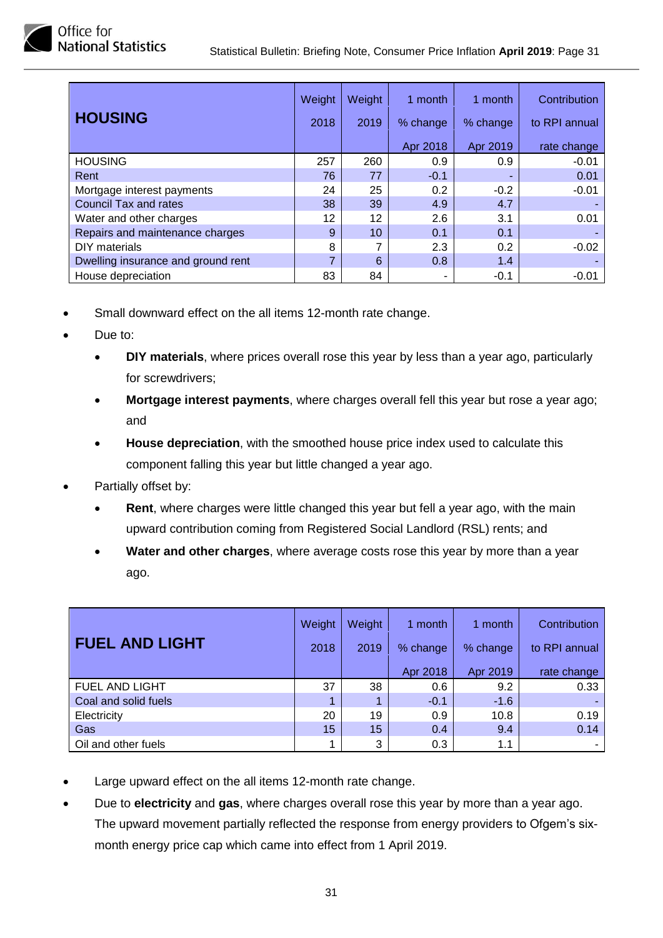

| <b>HOUSING</b>                     | Weight<br>2018 | Weight<br>2019 | 1 month<br>% change | 1 month<br>% change | Contribution<br>to RPI annual |
|------------------------------------|----------------|----------------|---------------------|---------------------|-------------------------------|
|                                    |                |                | Apr 2018            | Apr 2019            | rate change                   |
| <b>HOUSING</b>                     | 257            | 260            | 0.9                 | 0.9                 | $-0.01$                       |
| Rent                               | 76             | 77             | $-0.1$              |                     | 0.01                          |
| Mortgage interest payments         | 24             | 25             | 0.2                 | $-0.2$              | $-0.01$                       |
| <b>Council Tax and rates</b>       | 38             | 39             | 4.9                 | 4.7                 |                               |
| Water and other charges            | 12             | 12             | 2.6                 | 3.1                 | 0.01                          |
| Repairs and maintenance charges    | 9              | 10             | 0.1                 | 0.1                 |                               |
| DIY materials                      | 8              |                | 2.3                 | 0.2                 | $-0.02$                       |
| Dwelling insurance and ground rent |                | 6              | 0.8                 | 1.4                 |                               |
| House depreciation                 | 83             | 84             | ۰                   | $-0.1$              | $-0.01$                       |

- Small downward effect on the all items 12-month rate change.
- Due to:
	- **DIY materials**, where prices overall rose this year by less than a year ago, particularly for screwdrivers;
	- **Mortgage interest payments**, where charges overall fell this year but rose a year ago; and
	- **House depreciation**, with the smoothed house price index used to calculate this component falling this year but little changed a year ago.
- Partially offset by:
	- **Rent**, where charges were little changed this year but fell a year ago, with the main upward contribution coming from Registered Social Landlord (RSL) rents; and
	- **Water and other charges**, where average costs rose this year by more than a year ago.

| <b>FUEL AND LIGHT</b> | Weight<br>2018 | Weight<br>2019 | month<br>% change | 1 month<br>% change | Contribution<br>to RPI annual |
|-----------------------|----------------|----------------|-------------------|---------------------|-------------------------------|
|                       |                |                | Apr 2018          | Apr 2019            | rate change                   |
| <b>FUEL AND LIGHT</b> | 37             | 38             | 0.6               | 9.2                 | 0.33                          |
| Coal and solid fuels  |                |                | $-0.1$            | $-1.6$              |                               |
| Electricity           | 20             | 19             | 0.9               | 10.8                | 0.19                          |
| Gas                   | 15             | 15             | 0.4               | 9.4                 | 0.14                          |
| Oil and other fuels   |                | 3              | 0.3               | 1.1                 |                               |

- Large upward effect on the all items 12-month rate change.
- Due to **electricity** and **gas**, where charges overall rose this year by more than a year ago. The upward movement partially reflected the response from energy providers to Ofgem's sixmonth energy price cap which came into effect from 1 April 2019.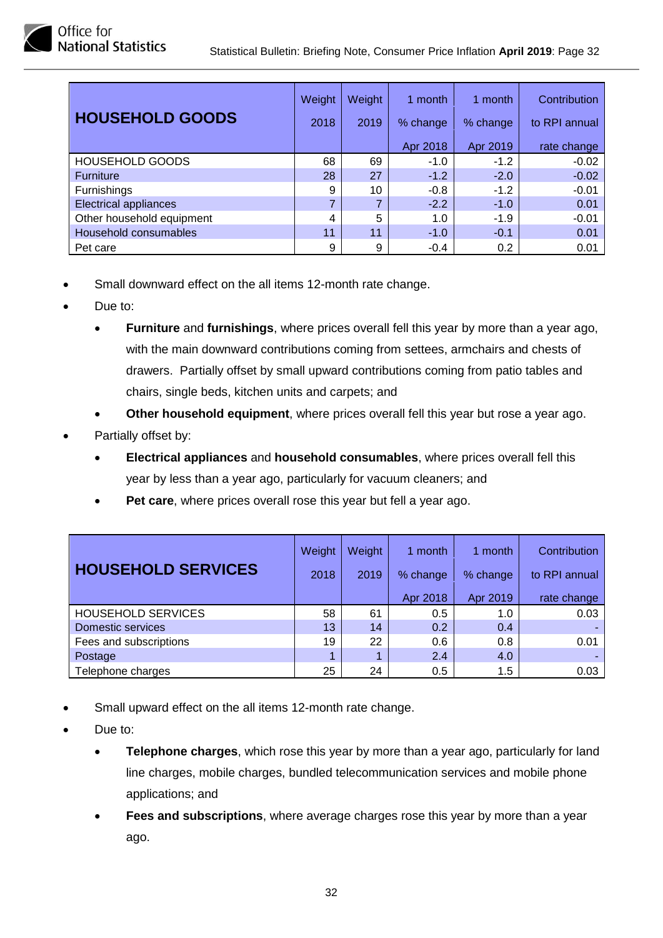| <b>HOUSEHOLD GOODS</b>       | Weight<br>2018 | Weight<br>2019 | 1 month<br>% change | 1 month<br>% change | Contribution<br>to RPI annual |
|------------------------------|----------------|----------------|---------------------|---------------------|-------------------------------|
|                              |                |                | Apr 2018            | Apr 2019            | rate change                   |
| <b>HOUSEHOLD GOODS</b>       | 68             | 69             | $-1.0$              | $-1.2$              | $-0.02$                       |
| <b>Furniture</b>             | 28             | 27             | $-1.2$              | $-2.0$              | $-0.02$                       |
| <b>Furnishings</b>           | 9              | 10             | $-0.8$              | $-1.2$              | $-0.01$                       |
| <b>Electrical appliances</b> | ⇁              |                | $-2.2$              | $-1.0$              | 0.01                          |
| Other household equipment    | 4              | 5              | 1.0                 | $-1.9$              | $-0.01$                       |
| Household consumables        | 11             | 11             | $-1.0$              | $-0.1$              | 0.01                          |
| Pet care                     | 9              | 9              | $-0.4$              | 0.2                 | 0.01                          |

- Small downward effect on the all items 12-month rate change.
- Due to:
	- **Furniture** and **furnishings**, where prices overall fell this year by more than a year ago, with the main downward contributions coming from settees, armchairs and chests of drawers. Partially offset by small upward contributions coming from patio tables and chairs, single beds, kitchen units and carpets; and
	- **Other household equipment**, where prices overall fell this year but rose a year ago.
- Partially offset by:
	- **Electrical appliances** and **household consumables**, where prices overall fell this year by less than a year ago, particularly for vacuum cleaners; and
	- Pet care, where prices overall rose this year but fell a year ago.

|                           | Weight | Weight | month    | 1 month  | Contribution  |
|---------------------------|--------|--------|----------|----------|---------------|
| <b>HOUSEHOLD SERVICES</b> | 2018   | 2019   | % change | % change | to RPI annual |
|                           |        |        | Apr 2018 | Apr 2019 | rate change   |
| <b>HOUSEHOLD SERVICES</b> | 58     | 61     | 0.5      | 1.0      | 0.03          |
| Domestic services         | 13     | 14     | 0.2      | 0.4      |               |
| Fees and subscriptions    | 19     | 22     | 0.6      | 0.8      | 0.01          |
| Postage                   |        |        | 2.4      | 4.0      |               |
| Telephone charges         | 25     | 24     | 0.5      | 1.5      | 0.03          |

- Small upward effect on the all items 12-month rate change.
- Due to:
	- **Telephone charges**, which rose this year by more than a year ago, particularly for land line charges, mobile charges, bundled telecommunication services and mobile phone applications; and
	- **Fees and subscriptions**, where average charges rose this year by more than a year ago.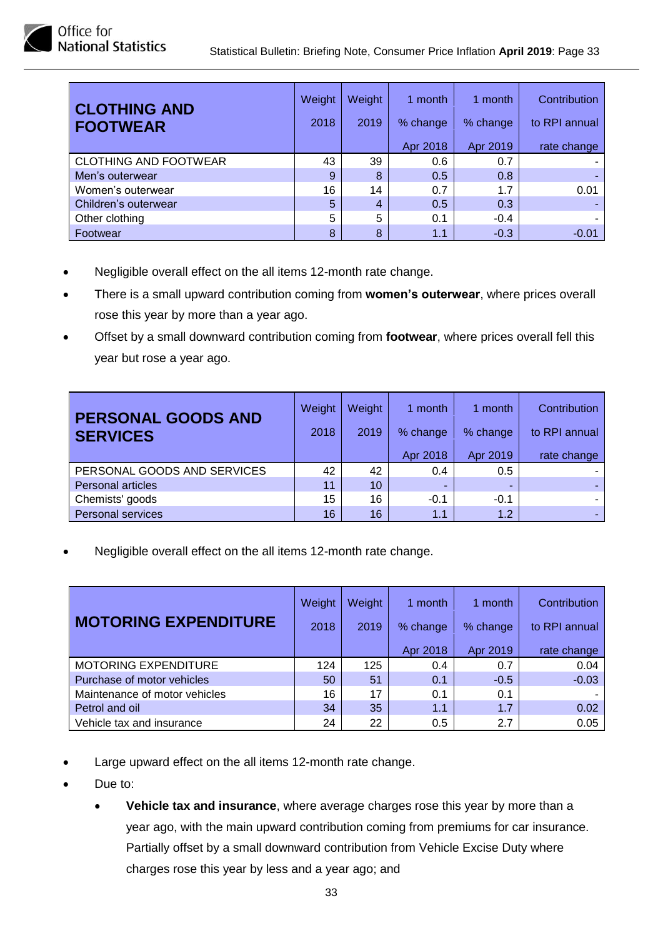

| <b>CLOTHING AND</b><br><b>FOOTWEAR</b> | Weight<br>2018 | Weight<br>2019 | 1 month<br>% change | 1 month<br>% change | Contribution<br>to RPI annual |
|----------------------------------------|----------------|----------------|---------------------|---------------------|-------------------------------|
|                                        |                |                | Apr 2018            | Apr 2019            | rate change                   |
| <b>CLOTHING AND FOOTWEAR</b>           | 43             | 39             | 0.6                 | 0.7                 |                               |
| Men's outerwear                        | 9              | 8              | 0.5                 | 0.8                 |                               |
| Women's outerwear                      | 16             | 14             | 0.7                 | 1.7                 | 0.01                          |
| Children's outerwear                   | 5              | 4              | 0.5                 | 0.3                 |                               |
| Other clothing                         | 5              | 5              | 0.1                 | $-0.4$              |                               |
| Footwear                               | 8              | 8              | 1.1                 | $-0.3$              | $-0.01$                       |

- Negligible overall effect on the all items 12-month rate change.
- There is a small upward contribution coming from **women's outerwear**, where prices overall rose this year by more than a year ago.
- Offset by a small downward contribution coming from **footwear**, where prices overall fell this year but rose a year ago.

| <b>PERSONAL GOODS AND</b><br><b>SERVICES</b> | Weight<br>2018 | Weight<br>2019 | 1 month<br>% change<br>Apr 2018 | 1 month<br>% change<br>Apr 2019 | Contribution<br>to RPI annual<br>rate change |
|----------------------------------------------|----------------|----------------|---------------------------------|---------------------------------|----------------------------------------------|
| PERSONAL GOODS AND SERVICES                  | 42             | 42             | 0.4                             | 0.5                             |                                              |
| <b>Personal articles</b>                     | 11             | 10             | -                               |                                 |                                              |
| Chemists' goods                              | 15             | 16             | $-0.1$                          | $-0.1$                          | $\sim$                                       |
| <b>Personal services</b>                     | 16             | 16             | 1.1                             | 1.2                             |                                              |

|                               | Weight | Weight | 1 month  | 1 month  | Contribution  |
|-------------------------------|--------|--------|----------|----------|---------------|
| <b>MOTORING EXPENDITURE</b>   | 2018   | 2019   | % change | % change | to RPI annual |
|                               |        |        | Apr 2018 | Apr 2019 | rate change   |
| <b>MOTORING EXPENDITURE</b>   | 124    | 125    | 0.4      | 0.7      | 0.04          |
| Purchase of motor vehicles    | 50     | 51     | 0.1      | $-0.5$   | $-0.03$       |
| Maintenance of motor vehicles | 16     | 17     | 0.1      | 0.1      |               |
| Petrol and oil                | 34     | 35     | 1.1      | 1.7      | 0.02          |
| Vehicle tax and insurance     | 24     | 22     | 0.5      | 2.7      | 0.05          |

- Large upward effect on the all items 12-month rate change.
- Due to:
	- **Vehicle tax and insurance**, where average charges rose this year by more than a year ago, with the main upward contribution coming from premiums for car insurance. Partially offset by a small downward contribution from Vehicle Excise Duty where charges rose this year by less and a year ago; and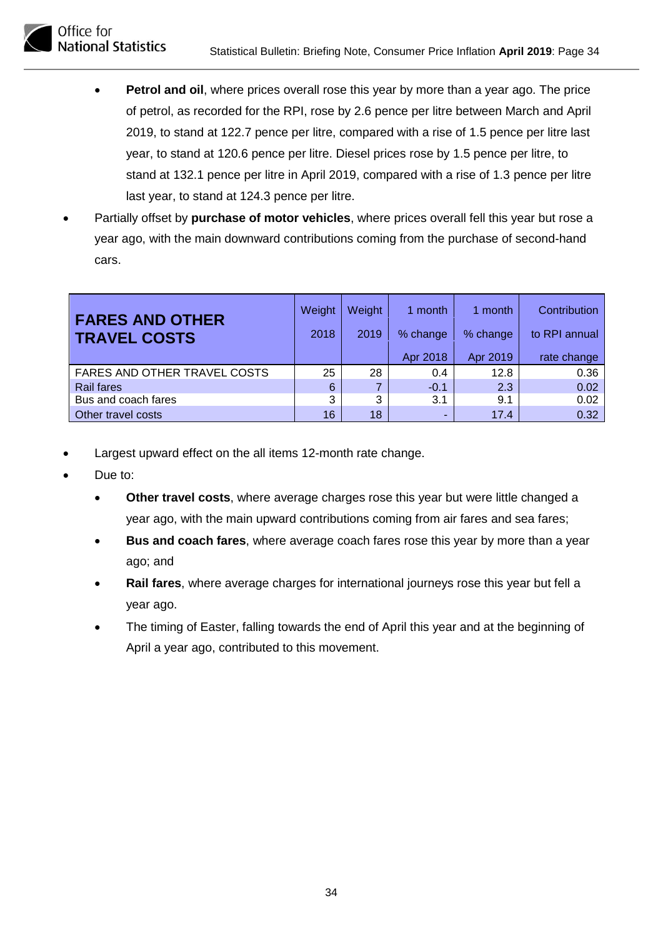

- **Petrol and oil**, where prices overall rose this year by more than a year ago. The price of petrol, as recorded for the RPI, rose by 2.6 pence per litre between March and April 2019, to stand at 122.7 pence per litre, compared with a rise of 1.5 pence per litre last year, to stand at 120.6 pence per litre. Diesel prices rose by 1.5 pence per litre, to stand at 132.1 pence per litre in April 2019, compared with a rise of 1.3 pence per litre last year, to stand at 124.3 pence per litre.
- Partially offset by **purchase of motor vehicles**, where prices overall fell this year but rose a year ago, with the main downward contributions coming from the purchase of second-hand cars.

| <b>FARES AND OTHER</b><br><b>TRAVEL COSTS</b> | Weight<br>2018 | Weight<br>2019 | month<br>% change<br>Apr 2018 | 1 month<br>% change<br>Apr 2019 | Contribution<br>to RPI annual<br>rate change |
|-----------------------------------------------|----------------|----------------|-------------------------------|---------------------------------|----------------------------------------------|
| <b>FARES AND OTHER TRAVEL COSTS</b>           | 25             | 28             | 0.4                           | 12.8                            | 0.36                                         |
| <b>Rail fares</b>                             | 6              |                | $-0.1$                        | 2.3                             | 0.02                                         |
| Bus and coach fares                           | 3              | 3              | 3.1                           | 9.1                             | 0.02                                         |
| Other travel costs                            | 16             | 18             | ٠                             | 17.4                            | 0.32                                         |

- Largest upward effect on the all items 12-month rate change.
- Due to:
	- **Other travel costs**, where average charges rose this year but were little changed a year ago, with the main upward contributions coming from air fares and sea fares;
	- **Bus and coach fares**, where average coach fares rose this year by more than a year ago; and
	- **Rail fares**, where average charges for international journeys rose this year but fell a year ago.
	- The timing of Easter, falling towards the end of April this year and at the beginning of April a year ago, contributed to this movement.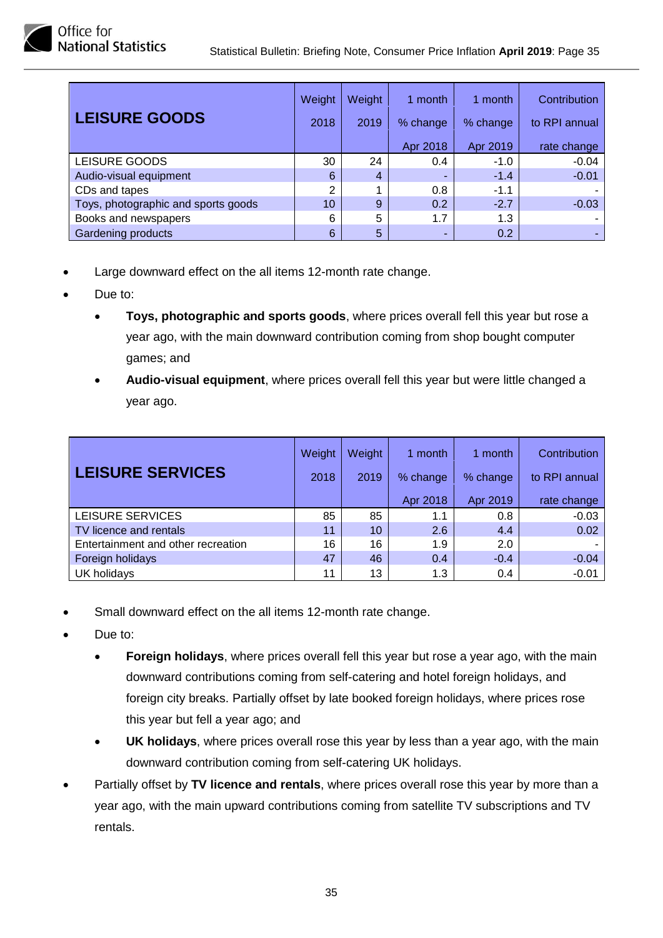| <b>LEISURE GOODS</b>                | Weight<br>2018 | Weight<br>2019 | 1 month<br>% change | 1 month<br>% change | Contribution<br>to RPI annual |
|-------------------------------------|----------------|----------------|---------------------|---------------------|-------------------------------|
|                                     |                |                | Apr 2018            | Apr 2019            | rate change                   |
| <b>LEISURE GOODS</b>                | 30             | 24             | 0.4                 | $-1.0$              | $-0.04$                       |
| Audio-visual equipment              | 6              | 4              | -                   | $-1.4$              | $-0.01$                       |
| CDs and tapes                       | 2              |                | 0.8                 | $-1.1$              |                               |
| Toys, photographic and sports goods | 10             | 9              | 0.2                 | $-2.7$              | $-0.03$                       |
| Books and newspapers                | 6              | 5              | 1.7                 | 1.3                 |                               |
| Gardening products                  | 6              | 5              |                     | 0.2                 |                               |

- Large downward effect on the all items 12-month rate change.
- Due to:
	- **Toys, photographic and sports goods**, where prices overall fell this year but rose a year ago, with the main downward contribution coming from shop bought computer games; and
	- **Audio-visual equipment**, where prices overall fell this year but were little changed a year ago.

|                                    | Weight | <b>Weight</b> | 1 month  | 1 month  | Contribution  |
|------------------------------------|--------|---------------|----------|----------|---------------|
| <b>LEISURE SERVICES</b>            | 2018   | 2019          | % change | % change | to RPI annual |
|                                    |        |               | Apr 2018 | Apr 2019 | rate change   |
| LEISURE SERVICES                   | 85     | 85            | 1.1      | 0.8      | $-0.03$       |
| TV licence and rentals             | 11     | 10            | 2.6      | 4.4      | 0.02          |
| Entertainment and other recreation | 16     | 16            | 1.9      | 2.0      |               |
| Foreign holidays                   | 47     | 46            | 0.4      | $-0.4$   | $-0.04$       |
| UK holidays                        | 11     | 13            | 1.3      | 0.4      | $-0.01$       |

- Small downward effect on the all items 12-month rate change.
- Due to:
	- **Foreign holidays**, where prices overall fell this year but rose a year ago, with the main downward contributions coming from self-catering and hotel foreign holidays, and foreign city breaks. Partially offset by late booked foreign holidays, where prices rose this year but fell a year ago; and
	- **UK holidays**, where prices overall rose this year by less than a year ago, with the main downward contribution coming from self-catering UK holidays.
- Partially offset by **TV licence and rentals**, where prices overall rose this year by more than a year ago, with the main upward contributions coming from satellite TV subscriptions and TV rentals.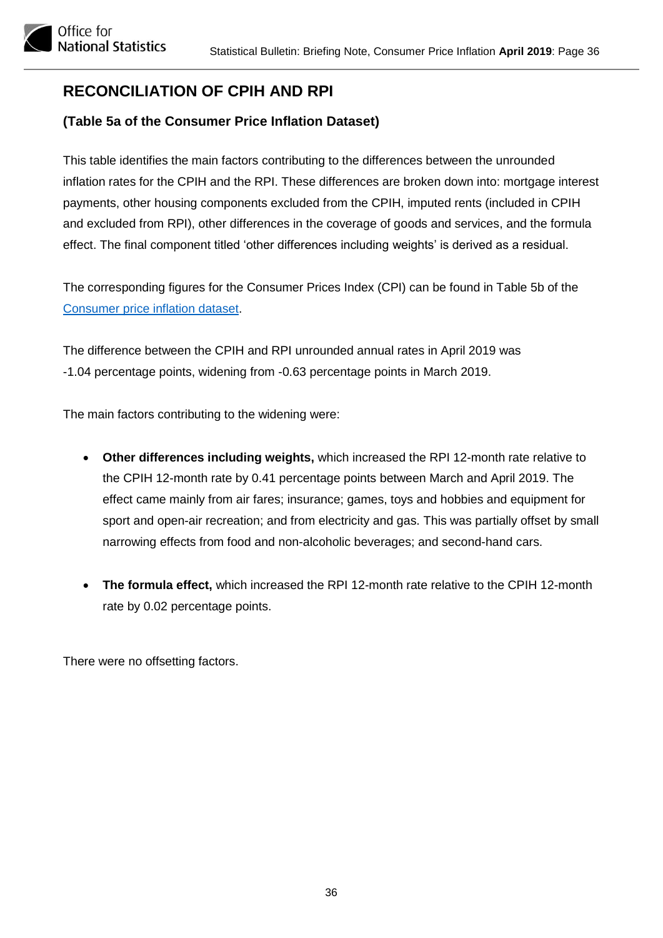# <span id="page-35-0"></span>**RECONCILIATION OF CPIH AND RPI**

#### **(Table 5a of the Consumer Price Inflation Dataset)**

This table identifies the main factors contributing to the differences between the unrounded inflation rates for the CPIH and the RPI. These differences are broken down into: mortgage interest payments, other housing components excluded from the CPIH, imputed rents (included in CPIH and excluded from RPI), other differences in the coverage of goods and services, and the formula effect. The final component titled 'other differences including weights' is derived as a residual.

The corresponding figures for the Consumer Prices Index (CPI) can be found in Table 5b of the [Consumer price inflation dataset.](https://www.ons.gov.uk/economy/inflationandpriceindices/datasets/consumerpriceinflation)

The difference between the CPIH and RPI unrounded annual rates in April 2019 was -1.04 percentage points, widening from -0.63 percentage points in March 2019.

The main factors contributing to the widening were:

- **Other differences including weights,** which increased the RPI 12-month rate relative to the CPIH 12-month rate by 0.41 percentage points between March and April 2019. The effect came mainly from air fares; insurance; games, toys and hobbies and equipment for sport and open-air recreation; and from electricity and gas. This was partially offset by small narrowing effects from food and non-alcoholic beverages; and second-hand cars.
- **The formula effect,** which increased the RPI 12-month rate relative to the CPIH 12-month rate by 0.02 percentage points.

There were no offsetting factors.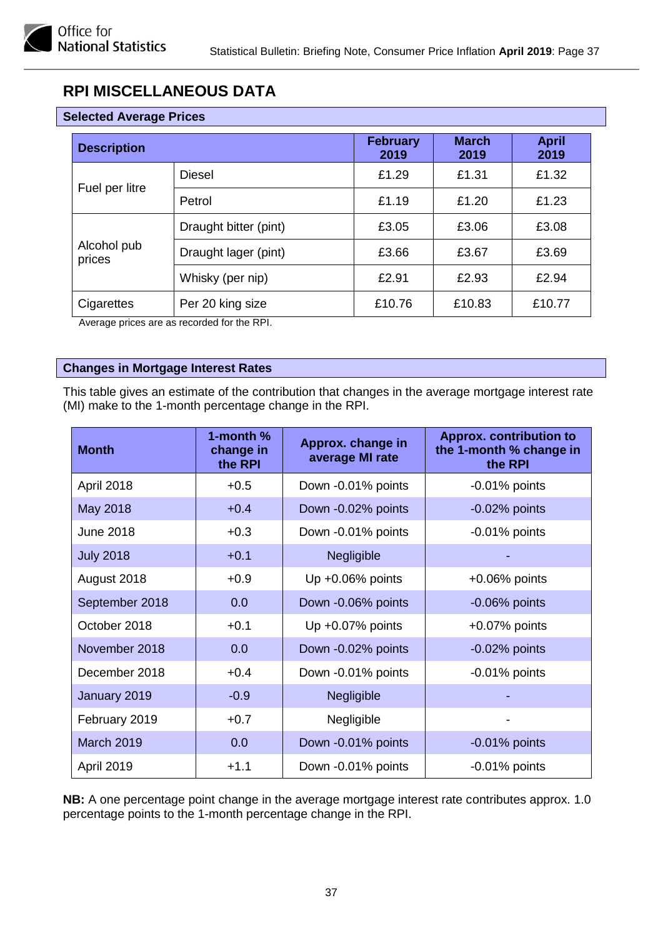# <span id="page-36-0"></span>**RPI MISCELLANEOUS DATA**

| <b>Selected Average Prices</b> |                       |                         |                      |                      |
|--------------------------------|-----------------------|-------------------------|----------------------|----------------------|
| <b>Description</b>             |                       | <b>February</b><br>2019 | <b>March</b><br>2019 | <b>April</b><br>2019 |
|                                | <b>Diesel</b>         | £1.29                   | £1.31                | £1.32                |
| Fuel per litre                 | Petrol                | £1.19                   | £1.20                | £1.23                |
| Alcohol pub<br>prices          | Draught bitter (pint) | £3.05                   | £3.06                | £3.08                |
|                                | Draught lager (pint)  | £3.66                   | £3.67                | £3.69                |
|                                | Whisky (per nip)      | £2.91                   | £2.93                | £2.94                |
| Cigarettes                     | Per 20 king size      | £10.76                  | £10.83               | £10.77               |

Average prices are as recorded for the RPI.

#### **Changes in Mortgage Interest Rates**

This table gives an estimate of the contribution that changes in the average mortgage interest rate (MI) make to the 1-month percentage change in the RPI.

| <b>Month</b>      | 1-month $%$<br>change in<br>the RPI | Approx. change in<br>average MI rate | <b>Approx. contribution to</b><br>the 1-month % change in<br>the RPI |
|-------------------|-------------------------------------|--------------------------------------|----------------------------------------------------------------------|
| April 2018        | $+0.5$                              | Down -0.01% points                   | $-0.01\%$ points                                                     |
| May 2018          | $+0.4$                              | Down -0.02% points                   | $-0.02%$ points                                                      |
| <b>June 2018</b>  | $+0.3$                              | Down -0.01% points                   | $-0.01\%$ points                                                     |
| <b>July 2018</b>  | $+0.1$                              | Negligible                           |                                                                      |
| August 2018       | $+0.9$                              | Up $+0.06\%$ points                  | $+0.06\%$ points                                                     |
| September 2018    | 0.0                                 | Down -0.06% points                   | $-0.06%$ points                                                      |
| October 2018      | $+0.1$                              | Up +0.07% points                     | $+0.07%$ points                                                      |
| November 2018     | 0.0                                 | Down -0.02% points                   | $-0.02%$ points                                                      |
| December 2018     | $+0.4$                              | Down -0.01% points                   | $-0.01\%$ points                                                     |
| January 2019      | $-0.9$                              | Negligible                           |                                                                      |
| February 2019     | $+0.7$                              | Negligible                           |                                                                      |
| <b>March 2019</b> | 0.0                                 | Down -0.01% points                   | $-0.01\%$ points                                                     |
| April 2019        | $+1.1$                              | Down -0.01% points                   | $-0.01\%$ points                                                     |

**NB:** A one percentage point change in the average mortgage interest rate contributes approx. 1.0 percentage points to the 1-month percentage change in the RPI.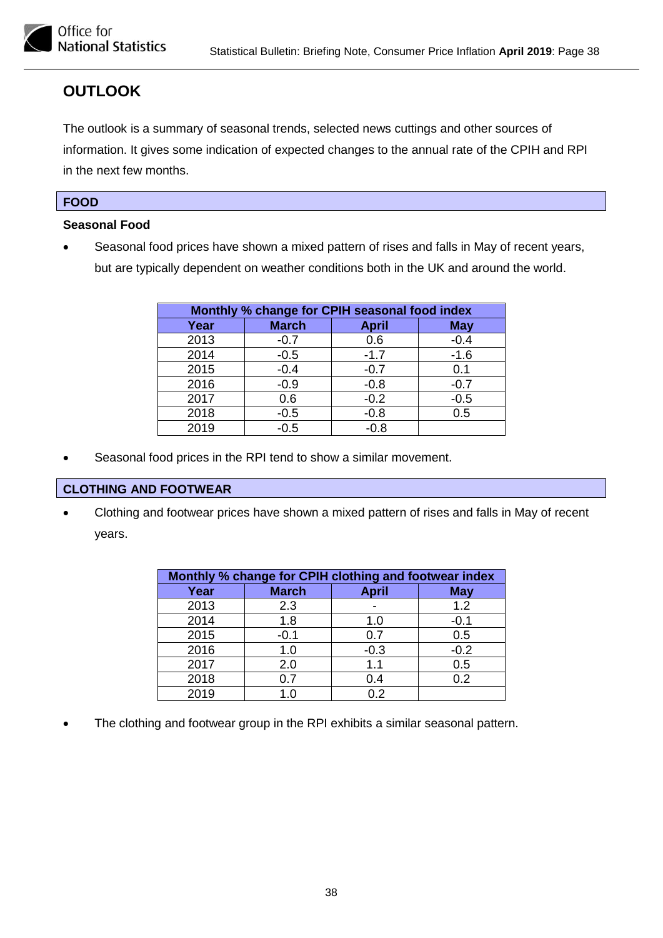

## <span id="page-37-0"></span>**OUTLOOK**

The outlook is a summary of seasonal trends, selected news cuttings and other sources of information. It gives some indication of expected changes to the annual rate of the CPIH and RPI in the next few months.

#### **FOOD**

#### **Seasonal Food**

• Seasonal food prices have shown a mixed pattern of rises and falls in May of recent years, but are typically dependent on weather conditions both in the UK and around the world.

| Monthly % change for CPIH seasonal food index |              |              |            |  |
|-----------------------------------------------|--------------|--------------|------------|--|
| Year                                          | <b>March</b> | <b>April</b> | <b>May</b> |  |
| 2013                                          | $-0.7$       | 0.6          | $-0.4$     |  |
| 2014                                          | $-0.5$       | $-1.7$       | $-1.6$     |  |
| 2015                                          | $-0.4$       | $-0.7$       | 0.1        |  |
| 2016                                          | $-0.9$       | $-0.8$       | $-0.7$     |  |
| 2017                                          | 0.6          | $-0.2$       | $-0.5$     |  |
| 2018                                          | $-0.5$       | $-0.8$       | 0.5        |  |
| 2019                                          | $-0.5$       | $-0.8$       |            |  |

Seasonal food prices in the RPI tend to show a similar movement.

#### **CLOTHING AND FOOTWEAR**

• Clothing and footwear prices have shown a mixed pattern of rises and falls in May of recent years.

| Monthly % change for CPIH clothing and footwear index |              |              |            |  |  |
|-------------------------------------------------------|--------------|--------------|------------|--|--|
| Year                                                  | <b>March</b> | <b>April</b> | <b>May</b> |  |  |
| 2013                                                  | 2.3          |              | 1.2        |  |  |
| 2014                                                  | 1.8          | 1.0          | $-0.1$     |  |  |
| 2015                                                  | $-0.1$       | 0.7          | 0.5        |  |  |
| 2016                                                  | 1.0          | $-0.3$       | $-0.2$     |  |  |
| 2017                                                  | 2.0          | 1.1          | 0.5        |  |  |
| 2018                                                  | 0.7          | 0.4          | 0.2        |  |  |
| 2019                                                  | 1 በ          | በ 2          |            |  |  |

The clothing and footwear group in the RPI exhibits a similar seasonal pattern.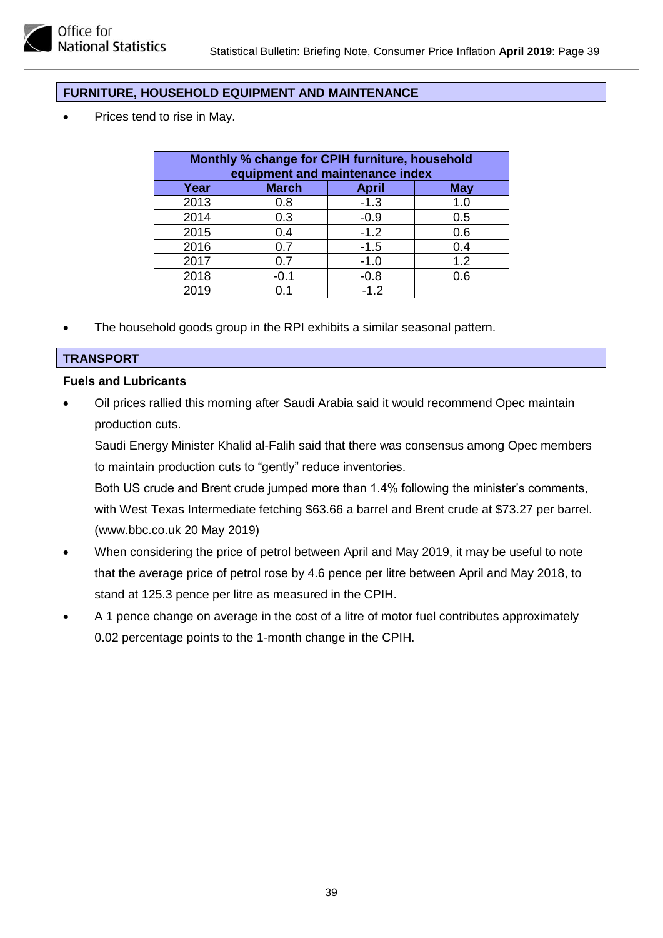#### **FURNITURE, HOUSEHOLD EQUIPMENT AND MAINTENANCE**

Prices tend to rise in May.

| Monthly % change for CPIH furniture, household<br>equipment and maintenance index |              |              |            |  |
|-----------------------------------------------------------------------------------|--------------|--------------|------------|--|
| Year                                                                              | <b>March</b> | <b>April</b> | <b>May</b> |  |
| 2013                                                                              | 0.8          | $-1.3$       | 1.0        |  |
| 2014                                                                              | 0.3          | $-0.9$       | 0.5        |  |
| 2015                                                                              | 0.4          | $-1.2$       | 0.6        |  |
| 2016                                                                              | 0.7          | $-1.5$       | 0.4        |  |
| 2017                                                                              | 0.7          | $-1.0$       | 1.2        |  |
| 2018                                                                              | $-0.1$       | $-0.8$       | 0.6        |  |
| 2019                                                                              |              | $-1.2$       |            |  |

The household goods group in the RPI exhibits a similar seasonal pattern.

#### **TRANSPORT**

#### **Fuels and Lubricants**

• Oil prices rallied this morning after Saudi Arabia said it would recommend Opec maintain production cuts.

Saudi Energy Minister Khalid al-Falih said that there was consensus among Opec members to maintain production cuts to "gently" reduce inventories.

Both US crude and Brent crude jumped more than 1.4% following the minister's comments, with West Texas Intermediate fetching \$63.66 a barrel and Brent crude at \$73.27 per barrel. (www.bbc.co.uk 20 May 2019)

- When considering the price of petrol between April and May 2019, it may be useful to note that the average price of petrol rose by 4.6 pence per litre between April and May 2018, to stand at 125.3 pence per litre as measured in the CPIH.
- A 1 pence change on average in the cost of a litre of motor fuel contributes approximately 0.02 percentage points to the 1-month change in the CPIH.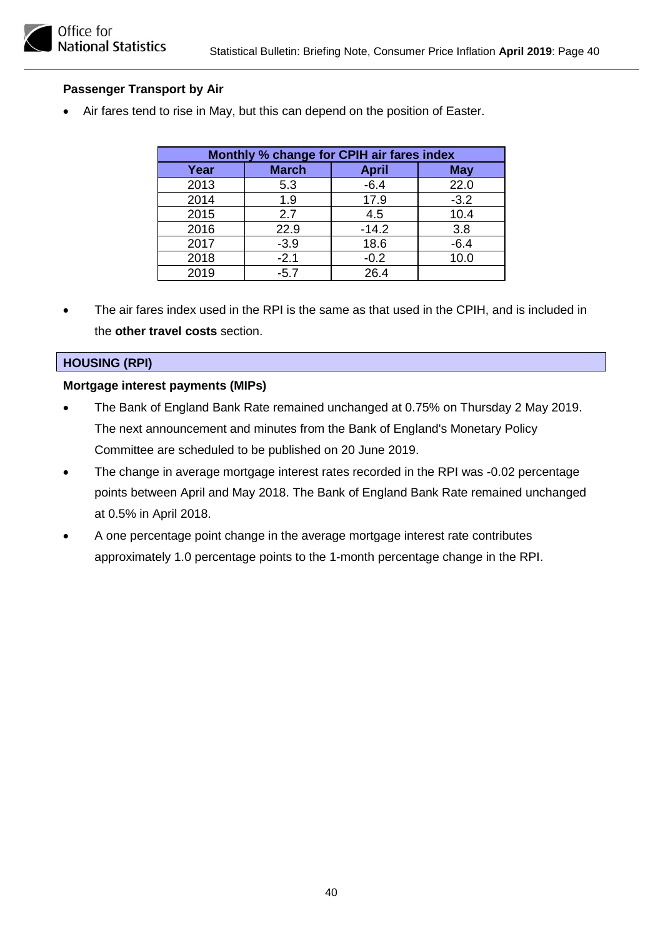#### **Passenger Transport by Air**

• Air fares tend to rise in May, but this can depend on the position of Easter.

| Monthly % change for CPIH air fares index |              |              |            |  |
|-------------------------------------------|--------------|--------------|------------|--|
| Year                                      | <b>March</b> | <b>April</b> | <b>May</b> |  |
| 2013                                      | 5.3          | $-6.4$       | 22.0       |  |
| 2014                                      | 1.9          | 17.9         | $-3.2$     |  |
| 2015                                      | 2.7          | 4.5          | 10.4       |  |
| 2016                                      | 22.9         | $-14.2$      | 3.8        |  |
| 2017                                      | $-3.9$       | 18.6         | $-6.4$     |  |
| 2018                                      | $-2.1$       | $-0.2$       | 10.0       |  |
| 2019                                      | $-5.7$       | 26.4         |            |  |

• The air fares index used in the RPI is the same as that used in the CPIH, and is included in the **other travel costs** section.

#### **HOUSING (RPI)**

#### **Mortgage interest payments (MIPs)**

- The Bank of England Bank Rate remained unchanged at 0.75% on Thursday 2 May 2019. The next announcement and minutes from the Bank of England's Monetary Policy Committee are scheduled to be published on 20 June 2019.
- The change in average mortgage interest rates recorded in the RPI was -0.02 percentage points between April and May 2018. The Bank of England Bank Rate remained unchanged at 0.5% in April 2018.
- A one percentage point change in the average mortgage interest rate contributes approximately 1.0 percentage points to the 1-month percentage change in the RPI.